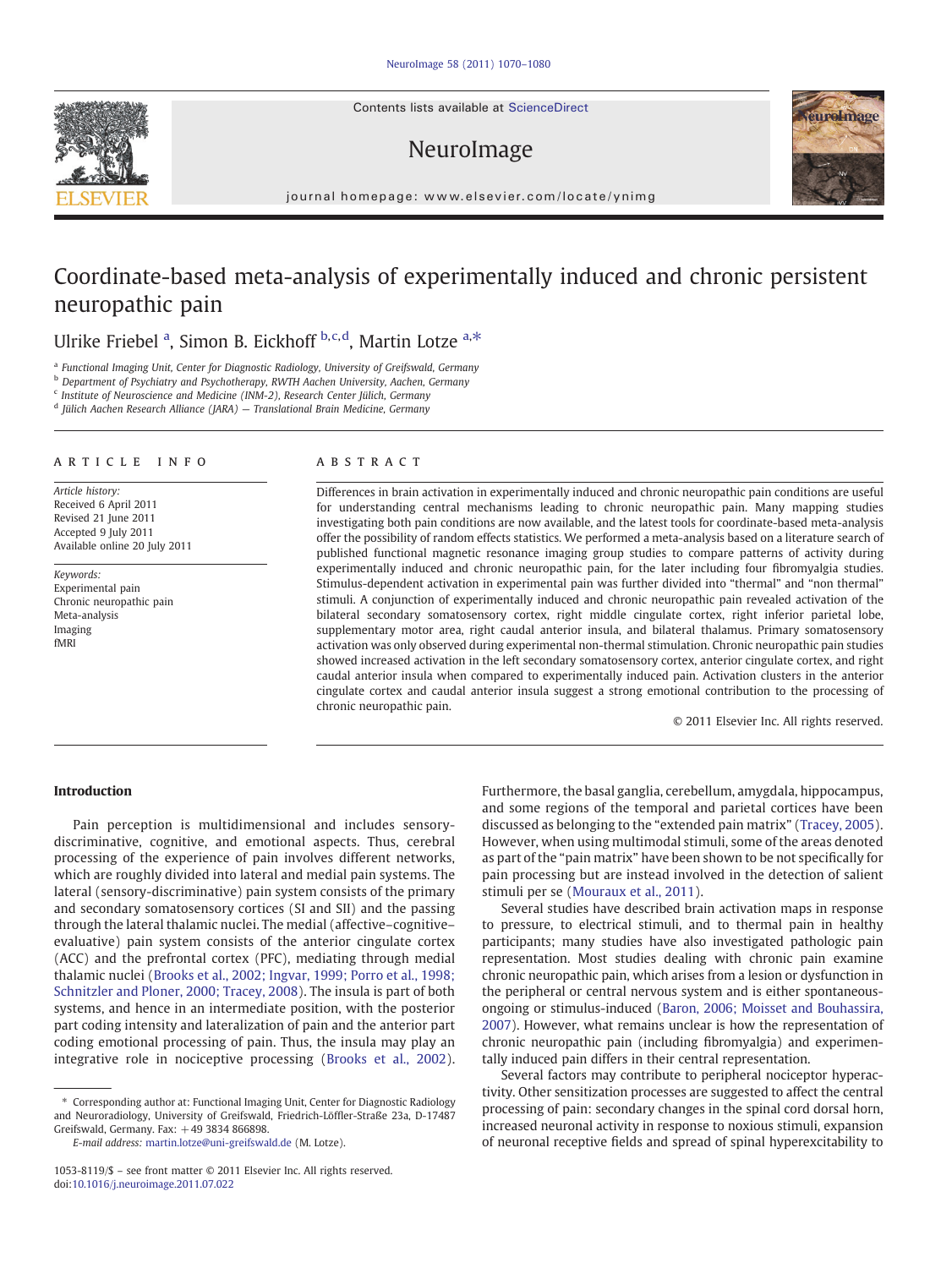Contents lists available at ScienceDirect

# NeuroImage



journal homepage: www.elsevier.com/locate/ynimg

# Coordinate-based meta-analysis of experimentally induced and chronic persistent neuropathic pain

Ulrike Friebel <sup>a</sup>, Simon B. Eickhoff b,c,d, Martin Lotze a,\*

<sup>a</sup> Functional Imaging Unit, Center for Diagnostic Radiology, University of Greifswald, Germany

<sup>b</sup> Department of Psychiatry and Psychotherapy, RWTH Aachen University, Aachen, Germany

 $c$  Institute of Neuroscience and Medicine (INM-2), Research Center Jülich, Germany

<sup>d</sup> Jülich Aachen Research Alliance (JARA) — Translational Brain Medicine, Germany

# article info abstract

Article history: Received 6 April 2011 Revised 21 June 2011 Accepted 9 July 2011 Available online 20 July 2011

Keywords: Experimental pain Chronic neuropathic pain Meta-analysis Imaging fMRI

Differences in brain activation in experimentally induced and chronic neuropathic pain conditions are useful for understanding central mechanisms leading to chronic neuropathic pain. Many mapping studies investigating both pain conditions are now available, and the latest tools for coordinate-based meta-analysis offer the possibility of random effects statistics. We performed a meta-analysis based on a literature search of published functional magnetic resonance imaging group studies to compare patterns of activity during experimentally induced and chronic neuropathic pain, for the later including four fibromyalgia studies. Stimulus-dependent activation in experimental pain was further divided into "thermal" and "non thermal" stimuli. A conjunction of experimentally induced and chronic neuropathic pain revealed activation of the bilateral secondary somatosensory cortex, right middle cingulate cortex, right inferior parietal lobe, supplementary motor area, right caudal anterior insula, and bilateral thalamus. Primary somatosensory activation was only observed during experimental non-thermal stimulation. Chronic neuropathic pain studies showed increased activation in the left secondary somatosensory cortex, anterior cingulate cortex, and right caudal anterior insula when compared to experimentally induced pain. Activation clusters in the anterior cingulate cortex and caudal anterior insula suggest a strong emotional contribution to the processing of chronic neuropathic pain.

© 2011 Elsevier Inc. All rights reserved.

# Introduction

Pain perception is multidimensional and includes sensorydiscriminative, cognitive, and emotional aspects. Thus, cerebral processing of the experience of pain involves different networks, which are roughly divided into lateral and medial pain systems. The lateral (sensory-discriminative) pain system consists of the primary and secondary somatosensory cortices (SI and SII) and the passing through the lateral thalamic nuclei. The medial (affective–cognitive– evaluative) pain system consists of the anterior cingulate cortex (ACC) and the prefrontal cortex (PFC), mediating through medial thalamic nuclei [\(Brooks et al., 2002; Ingvar, 1999; Porro et al., 1998;](#page-9-0) [Schnitzler and Ploner, 2000; Tracey, 2008\)](#page-9-0). The insula is part of both systems, and hence in an intermediate position, with the posterior part coding intensity and lateralization of pain and the anterior part coding emotional processing of pain. Thus, the insula may play an integrative role in nociceptive processing [\(Brooks et al., 2002](#page-9-0)).

E-mail address: [martin.lotze@uni-greifswald.de](mailto:martin.lotze@uni-greifswald.de) (M. Lotze).

Furthermore, the basal ganglia, cerebellum, amygdala, hippocampus, and some regions of the temporal and parietal cortices have been discussed as belonging to the "extended pain matrix" ([Tracey, 2005](#page-10-0)). However, when using multimodal stimuli, some of the areas denoted as part of the "pain matrix" have been shown to be not specifically for pain processing but are instead involved in the detection of salient stimuli per se [\(Mouraux et al., 2011\)](#page-10-0).

Several studies have described brain activation maps in response to pressure, to electrical stimuli, and to thermal pain in healthy participants; many studies have also investigated pathologic pain representation. Most studies dealing with chronic pain examine chronic neuropathic pain, which arises from a lesion or dysfunction in the peripheral or central nervous system and is either spontaneousongoing or stimulus-induced ([Baron, 2006; Moisset and Bouhassira,](#page-9-0) [2007\)](#page-9-0). However, what remains unclear is how the representation of chronic neuropathic pain (including fibromyalgia) and experimentally induced pain differs in their central representation.

Several factors may contribute to peripheral nociceptor hyperactivity. Other sensitization processes are suggested to affect the central processing of pain: secondary changes in the spinal cord dorsal horn, increased neuronal activity in response to noxious stimuli, expansion of neuronal receptive fields and spread of spinal hyperexcitability to



<sup>⁎</sup> Corresponding author at: Functional Imaging Unit, Center for Diagnostic Radiology and Neuroradiology, University of Greifswald, Friedrich-Löffler-Straße 23a, D-17487 Greifswald, Germany. Fax: +49 3834 866898.

<sup>1053-8119/\$</sup> – see front matter © 2011 Elsevier Inc. All rights reserved. doi[:10.1016/j.neuroimage.2011.07.022](http://dx.doi.org/10.1016/j.neuroimage.2011.07.022)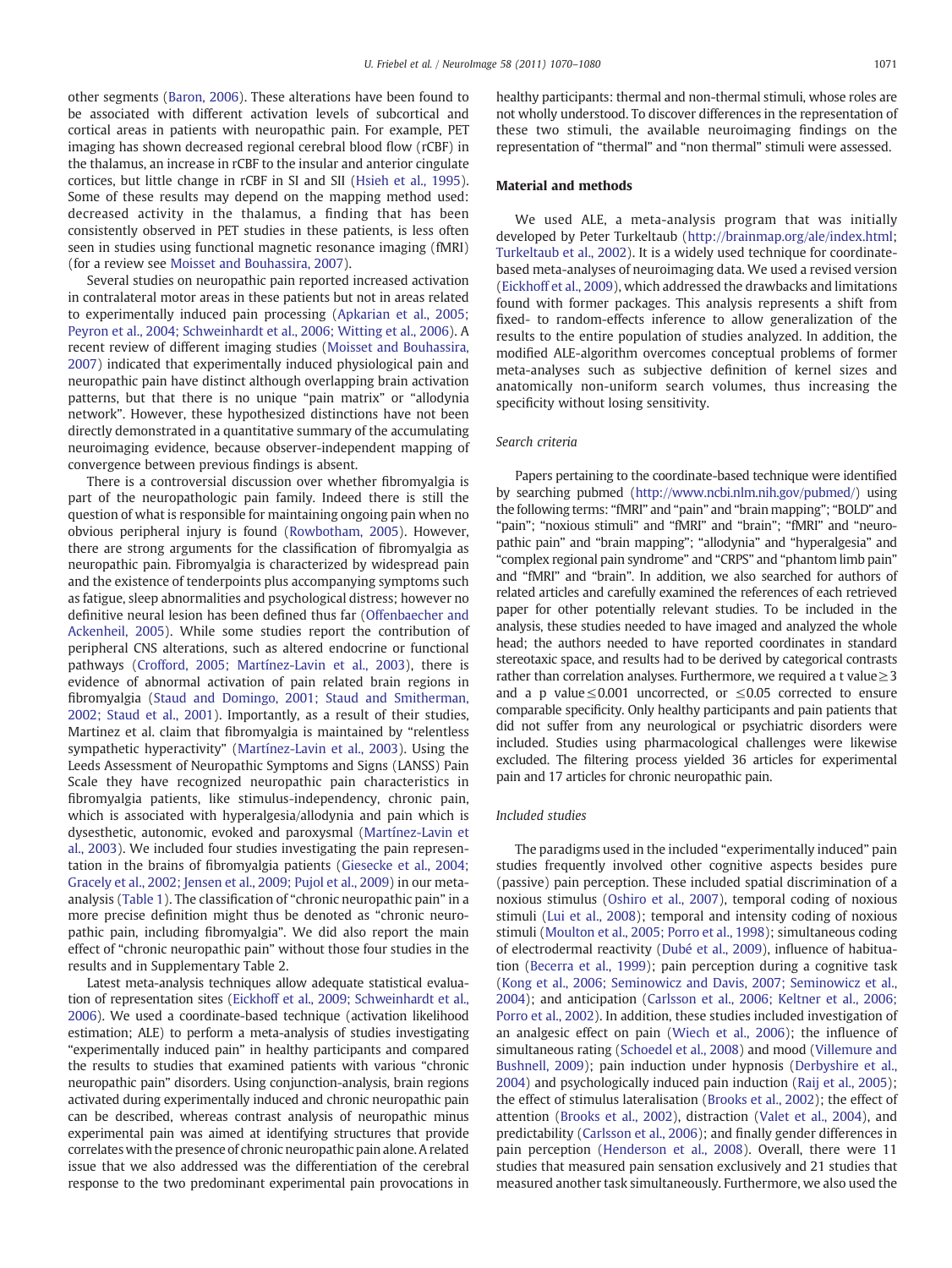other segments [\(Baron, 2006](#page-9-0)). These alterations have been found to be associated with different activation levels of subcortical and cortical areas in patients with neuropathic pain. For example, PET imaging has shown decreased regional cerebral blood flow (rCBF) in the thalamus, an increase in rCBF to the insular and anterior cingulate cortices, but little change in rCBF in SI and SII ([Hsieh et al., 1995](#page-10-0)). Some of these results may depend on the mapping method used: decreased activity in the thalamus, a finding that has been consistently observed in PET studies in these patients, is less often seen in studies using functional magnetic resonance imaging (fMRI) (for a review see [Moisset and Bouhassira, 2007\)](#page-10-0).

Several studies on neuropathic pain reported increased activation in contralateral motor areas in these patients but not in areas related to experimentally induced pain processing [\(Apkarian et al., 2005;](#page-9-0) [Peyron et al., 2004; Schweinhardt et al., 2006; Witting et al., 2006\)](#page-9-0). A recent review of different imaging studies ([Moisset and Bouhassira,](#page-10-0) [2007\)](#page-10-0) indicated that experimentally induced physiological pain and neuropathic pain have distinct although overlapping brain activation patterns, but that there is no unique "pain matrix" or "allodynia network". However, these hypothesized distinctions have not been directly demonstrated in a quantitative summary of the accumulating neuroimaging evidence, because observer-independent mapping of convergence between previous findings is absent.

There is a controversial discussion over whether fibromyalgia is part of the neuropathologic pain family. Indeed there is still the question of what is responsible for maintaining ongoing pain when no obvious peripheral injury is found [\(Rowbotham, 2005](#page-10-0)). However, there are strong arguments for the classification of fibromyalgia as neuropathic pain. Fibromyalgia is characterized by widespread pain and the existence of tenderpoints plus accompanying symptoms such as fatigue, sleep abnormalities and psychological distress; however no definitive neural lesion has been defined thus far [\(Offenbaecher and](#page-10-0) [Ackenheil, 2005\)](#page-10-0). While some studies report the contribution of peripheral CNS alterations, such as altered endocrine or functional pathways [\(Crofford, 2005; Martínez-Lavin et al., 2003\)](#page-9-0), there is evidence of abnormal activation of pain related brain regions in fibromyalgia [\(Staud and Domingo, 2001; Staud and Smitherman,](#page-10-0) [2002; Staud et al., 2001\)](#page-10-0). Importantly, as a result of their studies, Martinez et al. claim that fibromyalgia is maintained by "relentless sympathetic hyperactivity" ([Martínez-Lavin et al., 2003](#page-10-0)). Using the Leeds Assessment of Neuropathic Symptoms and Signs (LANSS) Pain Scale they have recognized neuropathic pain characteristics in fibromyalgia patients, like stimulus-independency, chronic pain, which is associated with hyperalgesia/allodynia and pain which is dysesthetic, autonomic, evoked and paroxysmal ([Martínez-Lavin et](#page-10-0) [al., 2003](#page-10-0)). We included four studies investigating the pain representation in the brains of fibromyalgia patients ([Giesecke et al., 2004;](#page-9-0) [Gracely et al., 2002; Jensen et al., 2009; Pujol et al., 2009](#page-9-0)) in our metaanalysis ([Table 1](#page-3-0)). The classification of "chronic neuropathic pain" in a more precise definition might thus be denoted as "chronic neuropathic pain, including fibromyalgia". We did also report the main effect of "chronic neuropathic pain" without those four studies in the results and in Supplementary Table 2.

Latest meta-analysis techniques allow adequate statistical evaluation of representation sites ([Eickhoff et al., 2009; Schweinhardt et al.,](#page-9-0) [2006](#page-9-0)). We used a coordinate-based technique (activation likelihood estimation; ALE) to perform a meta-analysis of studies investigating "experimentally induced pain" in healthy participants and compared the results to studies that examined patients with various "chronic neuropathic pain" disorders. Using conjunction-analysis, brain regions activated during experimentally induced and chronic neuropathic pain can be described, whereas contrast analysis of neuropathic minus experimental pain was aimed at identifying structures that provide correlates with the presence of chronic neuropathic pain alone. A related issue that we also addressed was the differentiation of the cerebral response to the two predominant experimental pain provocations in healthy participants: thermal and non-thermal stimuli, whose roles are not wholly understood. To discover differences in the representation of these two stimuli, the available neuroimaging findings on the representation of "thermal" and "non thermal" stimuli were assessed.

### Material and methods

We used ALE, a meta-analysis program that was initially developed by Peter Turkeltaub [\(http://brainmap.org/ale/index.html;](http://brainmap.org/ale/index.html) [Turkeltaub et al., 2002](#page-10-0)). It is a widely used technique for coordinatebased meta-analyses of neuroimaging data. We used a revised version [\(Eickhoff et al., 2009\)](#page-9-0), which addressed the drawbacks and limitations found with former packages. This analysis represents a shift from fixed- to random-effects inference to allow generalization of the results to the entire population of studies analyzed. In addition, the modified ALE-algorithm overcomes conceptual problems of former meta-analyses such as subjective definition of kernel sizes and anatomically non-uniform search volumes, thus increasing the specificity without losing sensitivity.

#### Search criteria

Papers pertaining to the coordinate-based technique were identified by searching pubmed (<http://www.ncbi.nlm.nih.gov/pubmed/>) using the following terms: "fMRI" and "pain" and "brain mapping"; "BOLD" and "pain"; "noxious stimuli" and "fMRI" and "brain"; "fMRI" and "neuropathic pain" and "brain mapping"; "allodynia" and "hyperalgesia" and "complex regional pain syndrome" and "CRPS" and "phantom limb pain" and "fMRI" and "brain". In addition, we also searched for authors of related articles and carefully examined the references of each retrieved paper for other potentially relevant studies. To be included in the analysis, these studies needed to have imaged and analyzed the whole head; the authors needed to have reported coordinates in standard stereotaxic space, and results had to be derived by categorical contrasts rather than correlation analyses. Furthermore, we required a t value $\geq$ 3 and a p value  $\leq$  0.001 uncorrected, or  $\leq$  0.05 corrected to ensure comparable specificity. Only healthy participants and pain patients that did not suffer from any neurological or psychiatric disorders were included. Studies using pharmacological challenges were likewise excluded. The filtering process yielded 36 articles for experimental pain and 17 articles for chronic neuropathic pain.

# Included studies

The paradigms used in the included "experimentally induced" pain studies frequently involved other cognitive aspects besides pure (passive) pain perception. These included spatial discrimination of a noxious stimulus ([Oshiro et al., 2007\)](#page-10-0), temporal coding of noxious stimuli [\(Lui et al., 2008](#page-10-0)); temporal and intensity coding of noxious stimuli [\(Moulton et al., 2005; Porro et al., 1998\)](#page-10-0); simultaneous coding of electrodermal reactivity [\(Dubé et al., 2009\)](#page-9-0), influence of habituation ([Becerra et al., 1999](#page-9-0)); pain perception during a cognitive task [\(Kong et al., 2006; Seminowicz and Davis, 2007; Seminowicz et al.,](#page-10-0) [2004\)](#page-10-0); and anticipation [\(Carlsson et al., 2006; Keltner et al., 2006;](#page-9-0) [Porro et al., 2002\)](#page-9-0). In addition, these studies included investigation of an analgesic effect on pain ([Wiech et al., 2006](#page-10-0)); the influence of simultaneous rating ([Schoedel et al., 2008](#page-10-0)) and mood [\(Villemure and](#page-10-0) [Bushnell, 2009](#page-10-0)); pain induction under hypnosis ([Derbyshire et al.,](#page-9-0) [2004\)](#page-9-0) and psychologically induced pain induction [\(Raij et al., 2005](#page-10-0)); the effect of stimulus lateralisation ([Brooks et al., 2002\)](#page-9-0); the effect of attention ([Brooks et al., 2002\)](#page-9-0), distraction [\(Valet et al., 2004](#page-10-0)), and predictability ([Carlsson et al., 2006\)](#page-9-0); and finally gender differences in pain perception ([Henderson et al., 2008](#page-9-0)). Overall, there were 11 studies that measured pain sensation exclusively and 21 studies that measured another task simultaneously. Furthermore, we also used the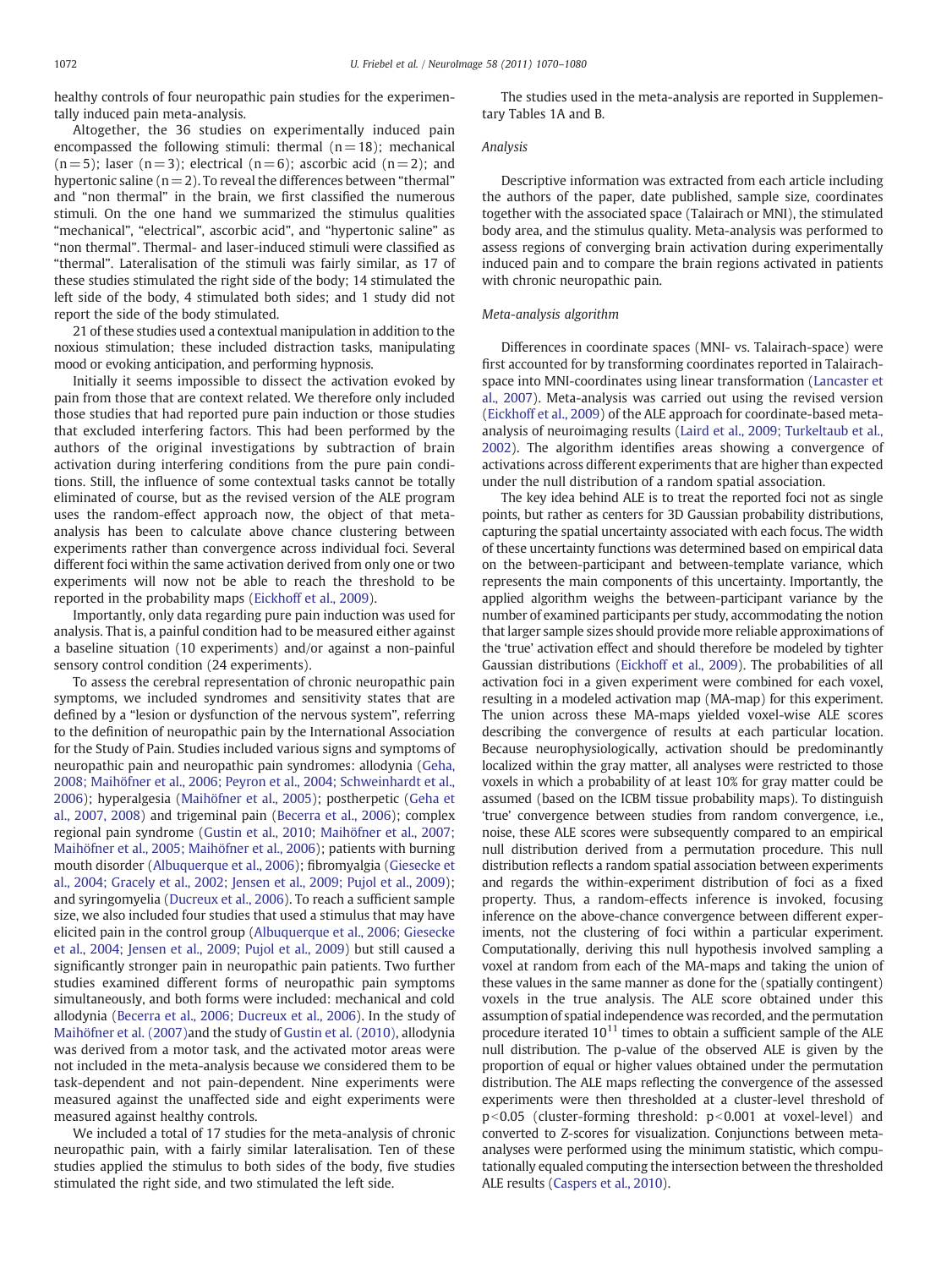healthy controls of four neuropathic pain studies for the experimentally induced pain meta-analysis.

Altogether, the 36 studies on experimentally induced pain encompassed the following stimuli: thermal  $(n= 18)$ ; mechanical  $(n= 5)$ ; laser  $(n= 3)$ ; electrical  $(n= 6)$ ; ascorbic acid  $(n= 2)$ ; and hypertonic saline  $(n = 2)$ . To reveal the differences between "thermal" and "non thermal" in the brain, we first classified the numerous stimuli. On the one hand we summarized the stimulus qualities "mechanical", "electrical", ascorbic acid", and "hypertonic saline" as "non thermal". Thermal- and laser-induced stimuli were classified as "thermal". Lateralisation of the stimuli was fairly similar, as 17 of these studies stimulated the right side of the body; 14 stimulated the left side of the body, 4 stimulated both sides; and 1 study did not report the side of the body stimulated.

21 of these studies used a contextual manipulation in addition to the noxious stimulation; these included distraction tasks, manipulating mood or evoking anticipation, and performing hypnosis.

Initially it seems impossible to dissect the activation evoked by pain from those that are context related. We therefore only included those studies that had reported pure pain induction or those studies that excluded interfering factors. This had been performed by the authors of the original investigations by subtraction of brain activation during interfering conditions from the pure pain conditions. Still, the influence of some contextual tasks cannot be totally eliminated of course, but as the revised version of the ALE program uses the random-effect approach now, the object of that metaanalysis has been to calculate above chance clustering between experiments rather than convergence across individual foci. Several different foci within the same activation derived from only one or two experiments will now not be able to reach the threshold to be reported in the probability maps [\(Eickhoff et al., 2009\)](#page-9-0).

Importantly, only data regarding pure pain induction was used for analysis. That is, a painful condition had to be measured either against a baseline situation (10 experiments) and/or against a non-painful sensory control condition (24 experiments).

To assess the cerebral representation of chronic neuropathic pain symptoms, we included syndromes and sensitivity states that are defined by a "lesion or dysfunction of the nervous system", referring to the definition of neuropathic pain by the International Association for the Study of Pain. Studies included various signs and symptoms of neuropathic pain and neuropathic pain syndromes: allodynia [\(Geha,](#page-9-0) [2008; Maihöfner et al., 2006; Peyron et al., 2004; Schweinhardt et al.,](#page-9-0) [2006\)](#page-9-0); hyperalgesia [\(Maihöfner et al., 2005](#page-10-0)); postherpetic [\(Geha et](#page-9-0) [al., 2007, 2008\)](#page-9-0) and trigeminal pain [\(Becerra et al., 2006\)](#page-9-0); complex regional pain syndrome ([Gustin et al., 2010; Maihöfner et al., 2007;](#page-9-0) [Maihöfner et al., 2005; Maihöfner et al., 2006](#page-9-0)); patients with burning mouth disorder ([Albuquerque et al., 2006](#page-9-0)); fibromyalgia ([Giesecke et](#page-9-0) [al., 2004; Gracely et al., 2002; Jensen et al., 2009; Pujol et al., 2009\)](#page-9-0); and syringomyelia [\(Ducreux et al., 2006\)](#page-9-0). To reach a sufficient sample size, we also included four studies that used a stimulus that may have elicited pain in the control group [\(Albuquerque et al., 2006; Giesecke](#page-9-0) [et al., 2004; Jensen et al., 2009; Pujol et al., 2009\)](#page-9-0) but still caused a significantly stronger pain in neuropathic pain patients. Two further studies examined different forms of neuropathic pain symptoms simultaneously, and both forms were included: mechanical and cold allodynia [\(Becerra et al., 2006; Ducreux et al., 2006\)](#page-9-0). In the study of [Maihöfner et al. \(2007\)a](#page-10-0)nd the study of [Gustin et al. \(2010\),](#page-9-0) allodynia was derived from a motor task, and the activated motor areas were not included in the meta-analysis because we considered them to be task-dependent and not pain-dependent. Nine experiments were measured against the unaffected side and eight experiments were measured against healthy controls.

We included a total of 17 studies for the meta-analysis of chronic neuropathic pain, with a fairly similar lateralisation. Ten of these studies applied the stimulus to both sides of the body, five studies stimulated the right side, and two stimulated the left side.

The studies used in the meta-analysis are reported in Supplementary Tables 1A and B.

# Analysis

Descriptive information was extracted from each article including the authors of the paper, date published, sample size, coordinates together with the associated space (Talairach or MNI), the stimulated body area, and the stimulus quality. Meta-analysis was performed to assess regions of converging brain activation during experimentally induced pain and to compare the brain regions activated in patients with chronic neuropathic pain.

# Meta-analysis algorithm

Differences in coordinate spaces (MNI- vs. Talairach-space) were first accounted for by transforming coordinates reported in Talairachspace into MNI-coordinates using linear transformation [\(Lancaster et](#page-10-0) [al., 2007](#page-10-0)). Meta-analysis was carried out using the revised version [\(Eickhoff et al., 2009](#page-9-0)) of the ALE approach for coordinate-based metaanalysis of neuroimaging results ([Laird et al., 2009; Turkeltaub et al.,](#page-10-0) [2002\)](#page-10-0). The algorithm identifies areas showing a convergence of activations across different experiments that are higher than expected under the null distribution of a random spatial association.

The key idea behind ALE is to treat the reported foci not as single points, but rather as centers for 3D Gaussian probability distributions, capturing the spatial uncertainty associated with each focus. The width of these uncertainty functions was determined based on empirical data on the between-participant and between-template variance, which represents the main components of this uncertainty. Importantly, the applied algorithm weighs the between-participant variance by the number of examined participants per study, accommodating the notion that larger sample sizes should provide more reliable approximations of the 'true' activation effect and should therefore be modeled by tighter Gaussian distributions ([Eickhoff et al., 2009\)](#page-9-0). The probabilities of all activation foci in a given experiment were combined for each voxel, resulting in a modeled activation map (MA-map) for this experiment. The union across these MA-maps yielded voxel-wise ALE scores describing the convergence of results at each particular location. Because neurophysiologically, activation should be predominantly localized within the gray matter, all analyses were restricted to those voxels in which a probability of at least 10% for gray matter could be assumed (based on the ICBM tissue probability maps). To distinguish 'true' convergence between studies from random convergence, i.e., noise, these ALE scores were subsequently compared to an empirical null distribution derived from a permutation procedure. This null distribution reflects a random spatial association between experiments and regards the within-experiment distribution of foci as a fixed property. Thus, a random-effects inference is invoked, focusing inference on the above-chance convergence between different experiments, not the clustering of foci within a particular experiment. Computationally, deriving this null hypothesis involved sampling a voxel at random from each of the MA-maps and taking the union of these values in the same manner as done for the (spatially contingent) voxels in the true analysis. The ALE score obtained under this assumption of spatial independence was recorded, and the permutation procedure iterated  $10^{11}$  times to obtain a sufficient sample of the ALE null distribution. The p-value of the observed ALE is given by the proportion of equal or higher values obtained under the permutation distribution. The ALE maps reflecting the convergence of the assessed experiments were then thresholded at a cluster-level threshold of  $p<0.05$  (cluster-forming threshold:  $p<0.001$  at voxel-level) and converted to Z-scores for visualization. Conjunctions between metaanalyses were performed using the minimum statistic, which computationally equaled computing the intersection between the thresholded ALE results [\(Caspers et al., 2010](#page-9-0)).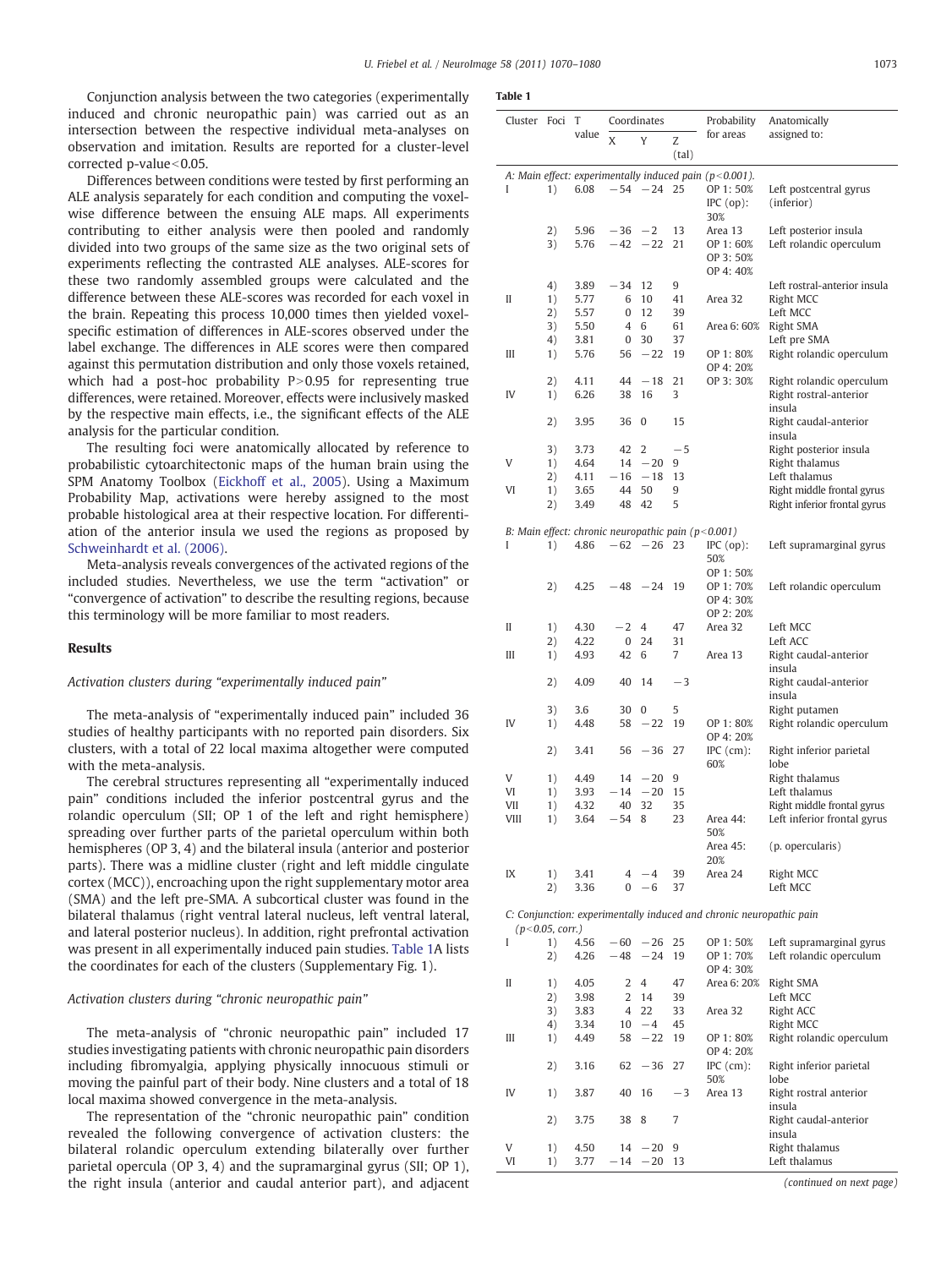<span id="page-3-0"></span>Conjunction analysis between the two categories (experimentally induced and chronic neuropathic pain) was carried out as an intersection between the respective individual meta-analyses on observation and imitation. Results are reported for a cluster-level corrected p-value $<$ 0.05.

Differences between conditions were tested by first performing an ALE analysis separately for each condition and computing the voxelwise difference between the ensuing ALE maps. All experiments contributing to either analysis were then pooled and randomly divided into two groups of the same size as the two original sets of experiments reflecting the contrasted ALE analyses. ALE-scores for these two randomly assembled groups were calculated and the difference between these ALE-scores was recorded for each voxel in the brain. Repeating this process 10,000 times then yielded voxelspecific estimation of differences in ALE-scores observed under the label exchange. The differences in ALE scores were then compared against this permutation distribution and only those voxels retained, which had a post-hoc probability  $P>0.95$  for representing true differences, were retained. Moreover, effects were inclusively masked by the respective main effects, i.e., the significant effects of the ALE analysis for the particular condition.

The resulting foci were anatomically allocated by reference to probabilistic cytoarchitectonic maps of the human brain using the SPM Anatomy Toolbox ([Eickhoff et al., 2005\)](#page-9-0). Using a Maximum Probability Map, activations were hereby assigned to the most probable histological area at their respective location. For differentiation of the anterior insula we used the regions as proposed by [Schweinhardt et al. \(2006\).](#page-10-0)

Meta-analysis reveals convergences of the activated regions of the included studies. Nevertheless, we use the term "activation" or "convergence of activation" to describe the resulting regions, because this terminology will be more familiar to most readers.

### Results

Activation clusters during "experimentally induced pain"

The meta-analysis of "experimentally induced pain" included 36 studies of healthy participants with no reported pain disorders. Six clusters, with a total of 22 local maxima altogether were computed with the meta-analysis.

The cerebral structures representing all "experimentally induced pain" conditions included the inferior postcentral gyrus and the rolandic operculum (SII; OP 1 of the left and right hemisphere) spreading over further parts of the parietal operculum within both hemispheres (OP 3, 4) and the bilateral insula (anterior and posterior parts). There was a midline cluster (right and left middle cingulate cortex (MCC)), encroaching upon the right supplementary motor area (SMA) and the left pre-SMA. A subcortical cluster was found in the bilateral thalamus (right ventral lateral nucleus, left ventral lateral, and lateral posterior nucleus). In addition, right prefrontal activation was present in all experimentally induced pain studies. Table 1A lists the coordinates for each of the clusters (Supplementary Fig. 1).

### Activation clusters during "chronic neuropathic pain"

The meta-analysis of "chronic neuropathic pain" included 17 studies investigating patients with chronic neuropathic pain disorders including fibromyalgia, applying physically innocuous stimuli or moving the painful part of their body. Nine clusters and a total of 18 local maxima showed convergence in the meta-analysis.

The representation of the "chronic neuropathic pain" condition revealed the following convergence of activation clusters: the bilateral rolandic operculum extending bilaterally over further parietal opercula (OP 3, 4) and the supramarginal gyrus (SII; OP 1), the right insula (anterior and caudal anterior part), and adjacent

| Cluster Foci                                                                           |          | T            | Coordinates    |              |          | Probability                                          | Anatomically                     |  |  |  |
|----------------------------------------------------------------------------------------|----------|--------------|----------------|--------------|----------|------------------------------------------------------|----------------------------------|--|--|--|
|                                                                                        |          | value        | X              | Y            | Z        | for areas                                            | assigned to:                     |  |  |  |
|                                                                                        |          |              |                |              | (tal)    |                                                      |                                  |  |  |  |
| A: Main effect: experimentally induced pain (p<0.001).                                 |          |              |                |              |          |                                                      |                                  |  |  |  |
| I                                                                                      | 1)       | 6.08         | $-54$          | $-24$        | 25       | OP 1:50%                                             | Left postcentral gyrus           |  |  |  |
|                                                                                        |          |              |                |              |          | $IPC$ (op):                                          | (inferior)                       |  |  |  |
|                                                                                        |          |              |                |              |          | 30%                                                  |                                  |  |  |  |
|                                                                                        | 2)       | 5.96         | $-36$          | $-2$         | 13       | Area 13                                              | Left posterior insula            |  |  |  |
|                                                                                        | 3)       | 5.76         | $-42$          | $-22$        | 21       | OP 1:60%                                             | Left rolandic operculum          |  |  |  |
|                                                                                        |          |              |                |              |          | OP 3:50%                                             |                                  |  |  |  |
|                                                                                        | 4)       | 3.89         | $-34$          | 12           | 9        | OP 4:40%                                             | Left rostral-anterior insula     |  |  |  |
| П                                                                                      | 1)       | 5.77         | 6              | 10           | 41       | Area 32                                              | Right MCC                        |  |  |  |
|                                                                                        | 2)       | 5.57         | 0              | 12           | 39       |                                                      | Left MCC                         |  |  |  |
|                                                                                        | 3)       | 5.50         | 4              | 6            | 61       | Area 6: 60%                                          | Right SMA                        |  |  |  |
|                                                                                        | 4)       | 3.81         | 0              | 30           | 37       |                                                      | Left pre SMA                     |  |  |  |
| Ш                                                                                      | 1)       | 5.76         | 56             | $-22$        | 19       | OP 1:80%                                             | Right rolandic operculum         |  |  |  |
|                                                                                        |          |              |                |              |          | OP 4:20%                                             |                                  |  |  |  |
|                                                                                        | 2)       | 4.11         | 44             | $-18$        | 21       | OP 3:30%                                             | Right rolandic operculum         |  |  |  |
| IV                                                                                     | 1)       | 6.26         | 38             | 16           | 3        |                                                      | Right rostral-anterior<br>insula |  |  |  |
|                                                                                        | 2)       | 3.95         | 36             | $\mathbf{0}$ | 15       |                                                      | Right caudal-anterior            |  |  |  |
|                                                                                        |          |              |                |              |          |                                                      | insula                           |  |  |  |
|                                                                                        | 3)       | 3.73         | 42             | 2            | $-5$     |                                                      | Right posterior insula           |  |  |  |
| V                                                                                      | 1)       | 4.64         | 14             | $-20$        | 9        |                                                      | Right thalamus                   |  |  |  |
|                                                                                        | 2)       | 4.11         | $-16$          | $-18$        | 13       |                                                      | Left thalamus                    |  |  |  |
| VI                                                                                     | 1)       | 3.65         | 44             | 50           | 9        |                                                      | Right middle frontal gyrus       |  |  |  |
|                                                                                        | 2)       | 3.49         | 48             | 42           | 5        |                                                      | Right inferior frontal gyrus     |  |  |  |
|                                                                                        |          |              |                |              |          |                                                      |                                  |  |  |  |
| I                                                                                      | 1)       | 4.86         | $-62$          | $-26$        | 23       | B: Main effect: chronic neuropathic pain $(p<0.001)$ | Left supramarginal gyrus         |  |  |  |
|                                                                                        |          |              |                |              |          | $IPC$ (op):<br>50%                                   |                                  |  |  |  |
|                                                                                        |          |              |                |              |          | OP 1:50%                                             |                                  |  |  |  |
|                                                                                        | 2)       | 4.25         | $-48$          | $-24$        | 19       | OP 1:70%                                             | Left rolandic operculum          |  |  |  |
|                                                                                        |          |              |                |              |          | OP 4:30%                                             |                                  |  |  |  |
|                                                                                        |          |              |                |              |          | OP 2:20%                                             |                                  |  |  |  |
| П                                                                                      | 1)       | 4.30         | $-2$           | 4            | 47       | Area 32                                              | Left MCC                         |  |  |  |
|                                                                                        | 2)       | 4.22         | 0              | 24           | 31       |                                                      | Left ACC                         |  |  |  |
| Ш                                                                                      | 1)       | 4.93         | 42             | 6            | 7        | Area 13                                              | Right caudal-anterior            |  |  |  |
|                                                                                        |          |              |                | 14           |          |                                                      | insula                           |  |  |  |
|                                                                                        | 2)       | 4.09         | 40             |              | -3       |                                                      | Right caudal-anterior<br>insula  |  |  |  |
|                                                                                        | 3)       | 3.6          | 30             | 0            | 5        |                                                      | Right putamen                    |  |  |  |
| IV                                                                                     | 1)       | 4.48         | 58             | $-22$        | 19       | OP 1:80%                                             | Right rolandic operculum         |  |  |  |
|                                                                                        |          |              |                |              |          | OP 4:20%                                             |                                  |  |  |  |
|                                                                                        | 2)       | 3.41         | 56             | $-36$        | 27       | $IPC$ (cm):                                          | Right inferior parietal          |  |  |  |
|                                                                                        |          |              |                |              |          | 60%                                                  | lobe                             |  |  |  |
| V                                                                                      | 1)       | 4.49         | 14             | $-20$        | 9        |                                                      | Right thalamus                   |  |  |  |
| VI                                                                                     | 1)       | 3.93         | $-14$          | $-20$        | 15       |                                                      | Left thalamus                    |  |  |  |
| VII<br>VIII                                                                            | 1)<br>1) | 4.32<br>3.64 | 40<br>$-54$    | 32<br>8      | 35<br>23 | Area 44:                                             | Right middle frontal gyrus       |  |  |  |
|                                                                                        |          |              |                |              |          | 50%                                                  | Left inferior frontal gyrus      |  |  |  |
|                                                                                        |          |              |                |              |          | Area 45:                                             | (p. opercularis)                 |  |  |  |
|                                                                                        |          |              |                |              |          | 20%                                                  |                                  |  |  |  |
| IX                                                                                     | 1)       | 3.41         |                | $4 - 4$      | 39       | Area 24                                              | Right MCC                        |  |  |  |
|                                                                                        | 2)       | 3.36         |                | $0 - 6$      | 37       |                                                      | Left MCC                         |  |  |  |
|                                                                                        |          |              |                |              |          |                                                      |                                  |  |  |  |
| C: Conjunction: experimentally induced and chronic neuropathic pain<br>(p<0.05, corr.) |          |              |                |              |          |                                                      |                                  |  |  |  |
| L                                                                                      | 1)       | 4.56         |                | $-60 -26$    | 25       | OP 1:50%                                             | Left supramarginal gyrus         |  |  |  |
|                                                                                        | 2)       | 4.26         | $-48$          | $-24$        | 19       | OP 1:70%                                             | Left rolandic operculum          |  |  |  |
|                                                                                        |          |              |                |              |          | OP 4:30%                                             |                                  |  |  |  |
| II                                                                                     | 1)       | 4.05         | 2              | 4            | 47       | Area 6: 20%                                          | Right SMA                        |  |  |  |
|                                                                                        | 2)       | 3.98         | $\overline{2}$ | 14           | 39       |                                                      | Left MCC                         |  |  |  |
|                                                                                        | 3)       | 3.83         |                | 4 22         | 33       | Area 32                                              | Right ACC                        |  |  |  |
|                                                                                        | 4)       | 3.34         | 10             | $-4$         | 45       |                                                      | Right MCC                        |  |  |  |
| Ш                                                                                      | 1)       | 4.49         | 58             | $-22$        | 19       | OP 1:80%                                             | Right rolandic operculum         |  |  |  |
|                                                                                        |          |              |                |              |          | OP 4:20%                                             |                                  |  |  |  |
|                                                                                        | 2)       | 3.16         | 62             | $-36$        | 27       | $IPC$ (cm):<br>50%                                   | Right inferior parietal<br>lobe  |  |  |  |
| IV                                                                                     | 1)       | 3.87         | 40             | 16           | $-3$     | Area 13                                              | Right rostral anterior           |  |  |  |
|                                                                                        |          |              |                |              |          |                                                      | insula                           |  |  |  |
|                                                                                        | 2)       | 3.75         | 38             | 8            | 7        |                                                      | Right caudal-anterior            |  |  |  |
|                                                                                        |          |              |                |              |          |                                                      | insula                           |  |  |  |
| V                                                                                      | 1)       | 4.50         | 14             | $-20$        | 9        |                                                      | Right thalamus                   |  |  |  |
| VI                                                                                     | 1)       | 3.77         | $-14$          | $-20$        | 13       |                                                      | Left thalamus                    |  |  |  |

(continued on next page)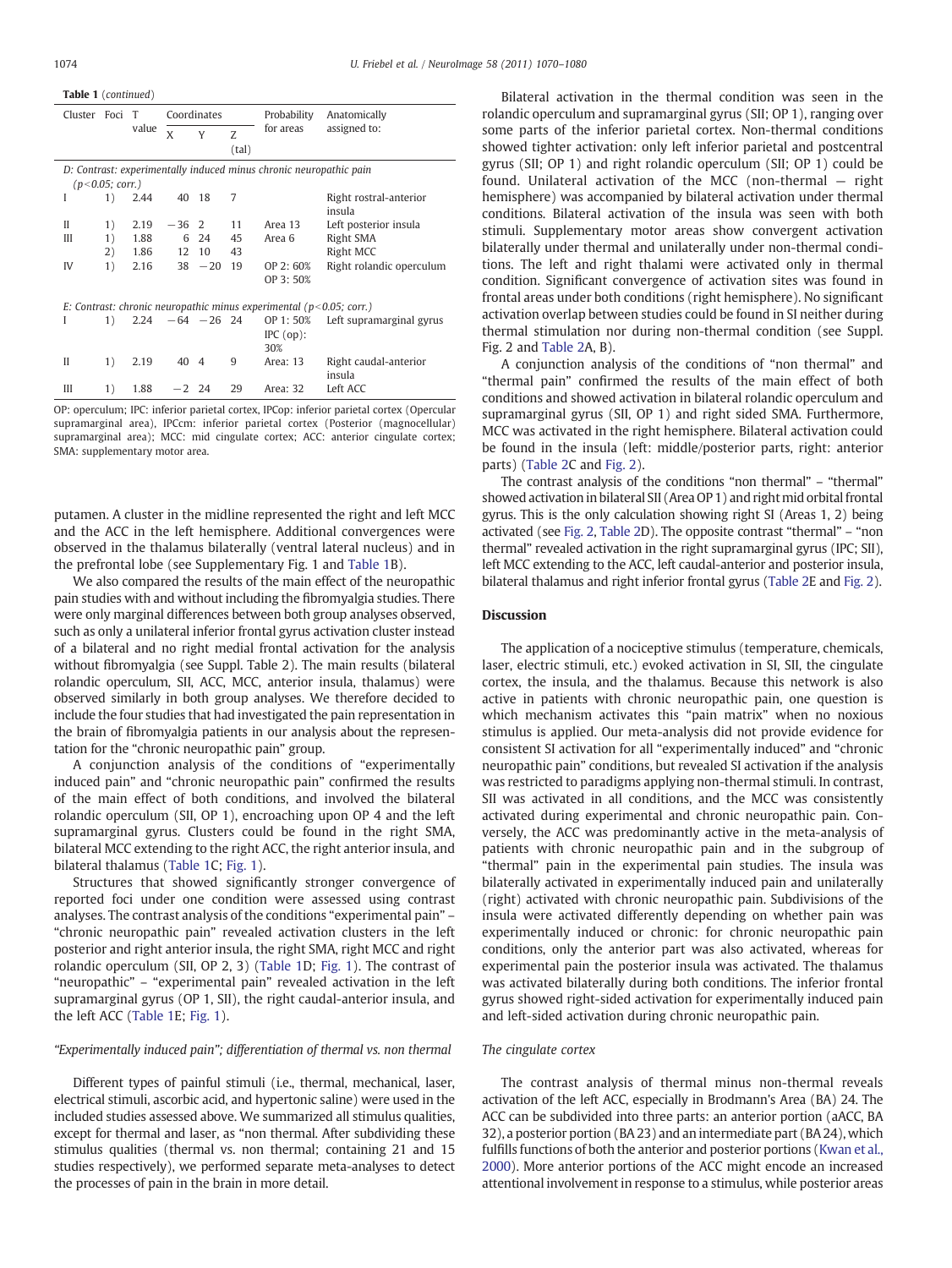Table 1 (continued)

| Cluster                                                            | Foci T                                                                    |       | Coordinates       |                |            | Probability | Anatomically                     |  |  |  |
|--------------------------------------------------------------------|---------------------------------------------------------------------------|-------|-------------------|----------------|------------|-------------|----------------------------------|--|--|--|
|                                                                    |                                                                           | value | X                 | Y              | Z<br>(tal) | for areas   | assigned to:                     |  |  |  |
| D: Contrast: experimentally induced minus chronic neuropathic pain |                                                                           |       |                   |                |            |             |                                  |  |  |  |
| (p<0.05; corr.)                                                    |                                                                           |       |                   |                |            |             |                                  |  |  |  |
| I                                                                  | 1)                                                                        | 2.44  | 40 18             |                | 7          |             | Right rostral-anterior<br>insula |  |  |  |
| $\mathbf{I}$                                                       | 1)                                                                        | 2.19  | $-36$ 2           |                | 11         | Area 13     | Left posterior insula            |  |  |  |
| Ш                                                                  | 1)                                                                        | 1.88  | 6                 | 24             | 45         | Area 6      | Right SMA                        |  |  |  |
|                                                                    | 2)                                                                        | 1.86  | 12                | 10             | 43         |             | Right MCC                        |  |  |  |
| IV                                                                 | 1)                                                                        | 2.16  |                   | $38 - 20$      | 19         | OP 2:60%    | Right rolandic operculum         |  |  |  |
|                                                                    |                                                                           |       |                   |                |            | OP 3:50%    |                                  |  |  |  |
|                                                                    |                                                                           |       |                   |                |            |             |                                  |  |  |  |
|                                                                    | E: Contrast: chronic neuropathic minus experimental ( $p < 0.05$ ; corr.) |       |                   |                |            |             |                                  |  |  |  |
| I                                                                  | 1)                                                                        |       | $2.24 -64 -26$ 24 |                |            | OP 1:50%    | Left supramarginal gyrus         |  |  |  |
|                                                                    |                                                                           |       |                   |                |            | $IPC$ (op): |                                  |  |  |  |
|                                                                    |                                                                           |       |                   |                |            | 30%         |                                  |  |  |  |
| Н                                                                  | 1)                                                                        | 2.19  | 40                | $\overline{4}$ | 9          | Area: 13    | Right caudal-anterior<br>insula  |  |  |  |
| Ш                                                                  | 1)                                                                        | 1.88  | $-2$ 24           |                | 29         | Area: 32    | Left ACC                         |  |  |  |
|                                                                    |                                                                           |       |                   |                |            |             |                                  |  |  |  |

OP: operculum; IPC: inferior parietal cortex, IPCop: inferior parietal cortex (Opercular supramarginal area), IPCcm: inferior parietal cortex (Posterior (magnocellular) supramarginal area); MCC: mid cingulate cortex; ACC: anterior cingulate cortex; SMA: supplementary motor area.

putamen. A cluster in the midline represented the right and left MCC and the ACC in the left hemisphere. Additional convergences were observed in the thalamus bilaterally (ventral lateral nucleus) and in the prefrontal lobe (see Supplementary Fig. 1 and [Table 1](#page-3-0)B).

We also compared the results of the main effect of the neuropathic pain studies with and without including the fibromyalgia studies. There were only marginal differences between both group analyses observed, such as only a unilateral inferior frontal gyrus activation cluster instead of a bilateral and no right medial frontal activation for the analysis without fibromyalgia (see Suppl. Table 2). The main results (bilateral rolandic operculum, SII, ACC, MCC, anterior insula, thalamus) were observed similarly in both group analyses. We therefore decided to include the four studies that had investigated the pain representation in the brain of fibromyalgia patients in our analysis about the representation for the "chronic neuropathic pain" group.

A conjunction analysis of the conditions of "experimentally induced pain" and "chronic neuropathic pain" confirmed the results of the main effect of both conditions, and involved the bilateral rolandic operculum (SII, OP 1), encroaching upon OP 4 and the left supramarginal gyrus. Clusters could be found in the right SMA, bilateral MCC extending to the right ACC, the right anterior insula, and bilateral thalamus ([Table 1C](#page-3-0); [Fig. 1](#page-5-0)).

Structures that showed significantly stronger convergence of reported foci under one condition were assessed using contrast analyses. The contrast analysis of the conditions "experimental pain" – "chronic neuropathic pain" revealed activation clusters in the left posterior and right anterior insula, the right SMA, right MCC and right rolandic operculum (SII, OP 2, 3) ([Table 1D](#page-3-0); [Fig. 1\)](#page-5-0). The contrast of "neuropathic"–"experimental pain" revealed activation in the left supramarginal gyrus (OP 1, SII), the right caudal-anterior insula, and the left ACC ([Table 1](#page-3-0)E; [Fig. 1](#page-5-0)).

# "Experimentally induced pain"; differentiation of thermal vs. non thermal

Different types of painful stimuli (i.e., thermal, mechanical, laser, electrical stimuli, ascorbic acid, and hypertonic saline) were used in the included studies assessed above. We summarized all stimulus qualities, except for thermal and laser, as "non thermal. After subdividing these stimulus qualities (thermal vs. non thermal; containing 21 and 15 studies respectively), we performed separate meta-analyses to detect the processes of pain in the brain in more detail.

Bilateral activation in the thermal condition was seen in the rolandic operculum and supramarginal gyrus (SII; OP 1), ranging over some parts of the inferior parietal cortex. Non-thermal conditions showed tighter activation: only left inferior parietal and postcentral gyrus (SII; OP 1) and right rolandic operculum (SII; OP 1) could be found. Unilateral activation of the MCC (non-thermal — right hemisphere) was accompanied by bilateral activation under thermal conditions. Bilateral activation of the insula was seen with both stimuli. Supplementary motor areas show convergent activation bilaterally under thermal and unilaterally under non-thermal conditions. The left and right thalami were activated only in thermal condition. Significant convergence of activation sites was found in frontal areas under both conditions (right hemisphere). No significant activation overlap between studies could be found in SI neither during thermal stimulation nor during non-thermal condition (see Suppl. Fig. 2 and [Table 2A](#page-6-0), B).

A conjunction analysis of the conditions of "non thermal" and "thermal pain" confirmed the results of the main effect of both conditions and showed activation in bilateral rolandic operculum and supramarginal gyrus (SII, OP 1) and right sided SMA. Furthermore, MCC was activated in the right hemisphere. Bilateral activation could be found in the insula (left: middle/posterior parts, right: anterior parts) [\(Table 2C](#page-6-0) and [Fig. 2](#page-7-0)).

The contrast analysis of the conditions "non thermal" – "thermal" showed activation in bilateral SII (Area OP 1) and right mid orbital frontal gyrus. This is the only calculation showing right SI (Areas 1, 2) being activated (see [Fig. 2,](#page-7-0) [Table 2](#page-6-0)D). The opposite contrast "thermal"–"non thermal" revealed activation in the right supramarginal gyrus (IPC; SII), left MCC extending to the ACC, left caudal-anterior and posterior insula, bilateral thalamus and right inferior frontal gyrus [\(Table 2](#page-6-0)E and [Fig. 2\)](#page-7-0).

#### **Discussion**

The application of a nociceptive stimulus (temperature, chemicals, laser, electric stimuli, etc.) evoked activation in SI, SII, the cingulate cortex, the insula, and the thalamus. Because this network is also active in patients with chronic neuropathic pain, one question is which mechanism activates this "pain matrix" when no noxious stimulus is applied. Our meta-analysis did not provide evidence for consistent SI activation for all "experimentally induced" and "chronic neuropathic pain" conditions, but revealed SI activation if the analysis was restricted to paradigms applying non-thermal stimuli. In contrast, SII was activated in all conditions, and the MCC was consistently activated during experimental and chronic neuropathic pain. Conversely, the ACC was predominantly active in the meta-analysis of patients with chronic neuropathic pain and in the subgroup of "thermal" pain in the experimental pain studies. The insula was bilaterally activated in experimentally induced pain and unilaterally (right) activated with chronic neuropathic pain. Subdivisions of the insula were activated differently depending on whether pain was experimentally induced or chronic: for chronic neuropathic pain conditions, only the anterior part was also activated, whereas for experimental pain the posterior insula was activated. The thalamus was activated bilaterally during both conditions. The inferior frontal gyrus showed right-sided activation for experimentally induced pain and left-sided activation during chronic neuropathic pain.

#### The cingulate cortex

The contrast analysis of thermal minus non-thermal reveals activation of the left ACC, especially in Brodmann's Area (BA) 24. The ACC can be subdivided into three parts: an anterior portion (aACC, BA 32), a posterior portion (BA 23) and an intermediate part (BA 24), which fulfills functions of both the anterior and posterior portions ([Kwan et al.,](#page-10-0) [2000\)](#page-10-0). More anterior portions of the ACC might encode an increased attentional involvement in response to a stimulus, while posterior areas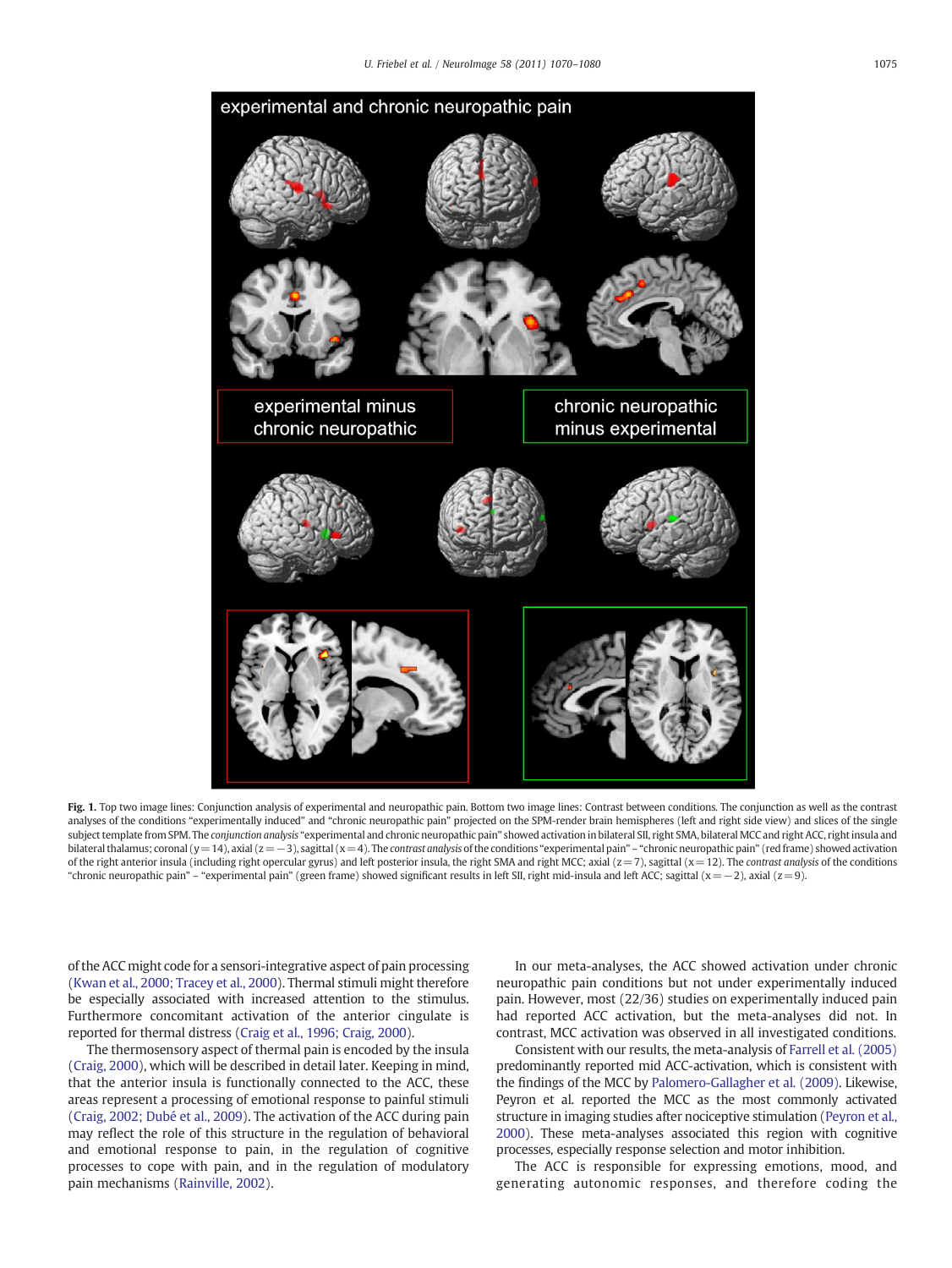<span id="page-5-0"></span>

Fig. 1. Top two image lines: Conjunction analysis of experimental and neuropathic pain. Bottom two image lines: Contrast between conditions. The conjunction as well as the contrast analyses of the conditions "experimentally induced" and "chronic neuropathic pain" projected on the SPM-render brain hemispheres (left and right side view) and slices of the single subject template from SPM. The conjunction analysis "experimental and chronic neuropathic pain" showed activation in bilateral SII, right SMA, bilateral MCC and right ACC, right insula and bilateral thalamus; coronal (y=14), axial (z=−3), sagittal (x=4). The contrast analysis of the conditions "experimental pain" - "chronic neuropathic pain" (red frame) showed activation of the right anterior insula (including right opercular gyrus) and left posterior insula, the right SMA and right MCC; axial ( $z=7$ ), sagittal ( $x=12$ ). The contrast analysis of the conditions "chronic neuropathic pain" – "experimental pain" (green frame) showed significant results in left SII, right mid-insula and left ACC; sagittal (x=−2), axial (z=9).

of the ACC might code for a sensori-integrative aspect of pain processing [\(Kwan et al., 2000; Tracey et al., 2000](#page-10-0)). Thermal stimuli might therefore be especially associated with increased attention to the stimulus. Furthermore concomitant activation of the anterior cingulate is reported for thermal distress ([Craig et al., 1996; Craig, 2000](#page-9-0)).

The thermosensory aspect of thermal pain is encoded by the insula [\(Craig, 2000\)](#page-9-0), which will be described in detail later. Keeping in mind, that the anterior insula is functionally connected to the ACC, these areas represent a processing of emotional response to painful stimuli [\(Craig, 2002; Dubé et al., 2009\)](#page-9-0). The activation of the ACC during pain may reflect the role of this structure in the regulation of behavioral and emotional response to pain, in the regulation of cognitive processes to cope with pain, and in the regulation of modulatory pain mechanisms [\(Rainville, 2002\)](#page-10-0).

In our meta-analyses, the ACC showed activation under chronic neuropathic pain conditions but not under experimentally induced pain. However, most (22/36) studies on experimentally induced pain had reported ACC activation, but the meta-analyses did not. In contrast, MCC activation was observed in all investigated conditions.

Consistent with our results, the meta-analysis of [Farrell et al. \(2005\)](#page-9-0) predominantly reported mid ACC-activation, which is consistent with the findings of the MCC by [Palomero-Gallagher et al. \(2009\).](#page-10-0) Likewise, Peyron et al. reported the MCC as the most commonly activated structure in imaging studies after nociceptive stimulation ([Peyron et al.,](#page-10-0) [2000](#page-10-0)). These meta-analyses associated this region with cognitive processes, especially response selection and motor inhibition.

The ACC is responsible for expressing emotions, mood, and generating autonomic responses, and therefore coding the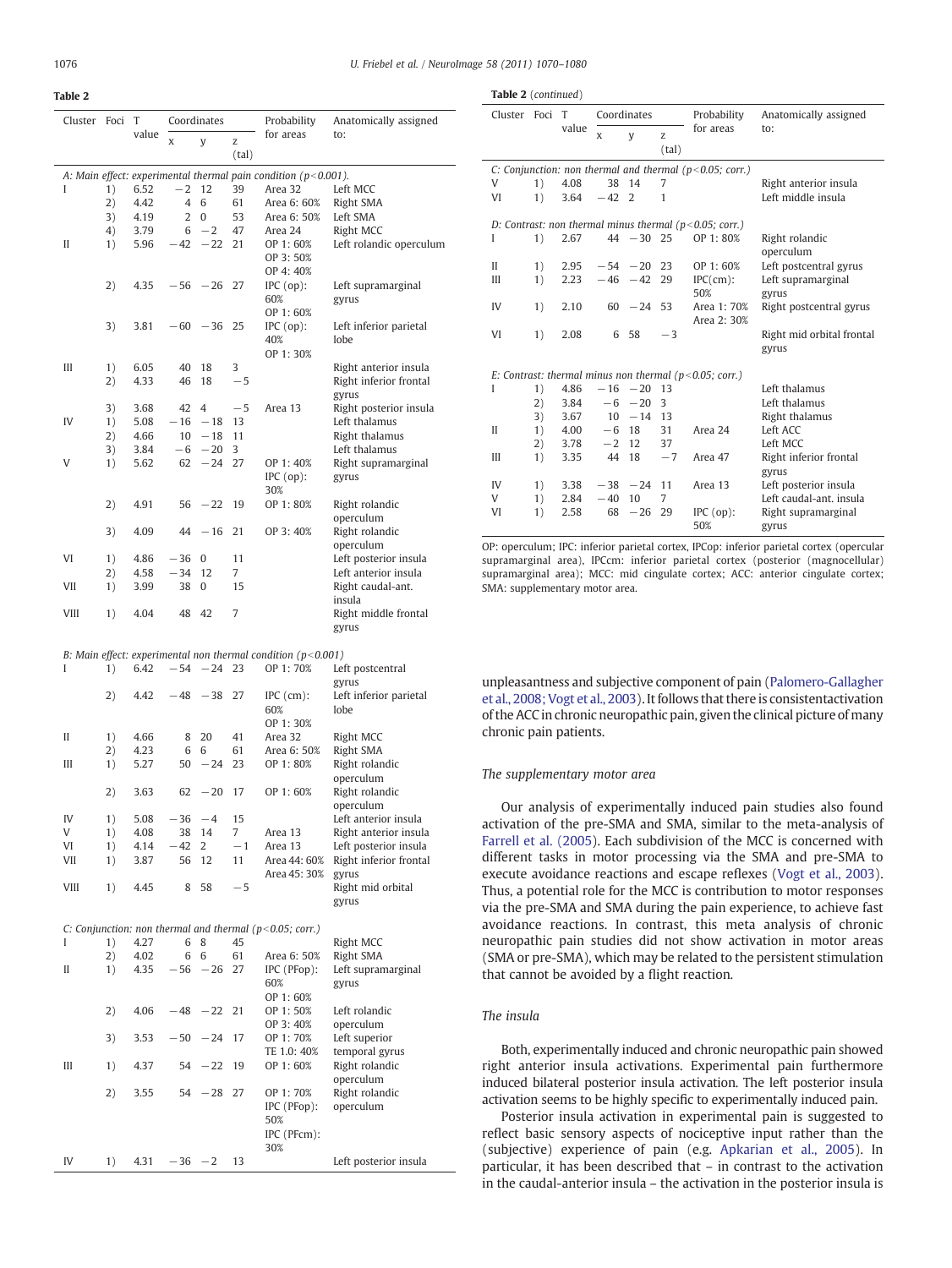<span id="page-6-0"></span>Table 2

| Cluster     | Foci     | T            |                | Coordinates |          | Probability                                                                     | Anatomically assigned           |
|-------------|----------|--------------|----------------|-------------|----------|---------------------------------------------------------------------------------|---------------------------------|
|             |          | value        | X              | y           | Z        | for areas                                                                       | to:                             |
|             |          |              |                |             | (tal)    |                                                                                 |                                 |
|             |          |              |                |             |          |                                                                                 |                                 |
|             |          |              | $-2$           | 12          | 39       | A: Main effect: experimental thermal pain condition ( $p < 0.001$ ).<br>Area 32 |                                 |
| I           | 1)       | 6.52         |                |             |          |                                                                                 | Left MCC                        |
|             | 2)       | 4.42         | $\overline{4}$ | 6           | 61       | Area 6: 60%                                                                     | Right SMA                       |
|             | 3)<br>4) | 4.19<br>3.79 | 2<br>6         | 0<br>$-2$   | 53<br>47 | Area 6: 50%<br>Area 24                                                          | Left SMA<br><b>Right MCC</b>    |
| П           | 1)       | 5.96         | $-42$          | $-22$       | 21       | OP 1:60%                                                                        | Left rolandic operculum         |
|             |          |              |                |             |          | OP 3:50%                                                                        |                                 |
|             |          |              |                |             |          | OP 4:40%                                                                        |                                 |
|             | 2)       | 4.35         |                | $-56 -26$   | 27       | $IPC$ (op):                                                                     | Left supramarginal              |
|             |          |              |                |             |          | 60%                                                                             | gyrus                           |
|             |          |              |                |             |          | OP 1:60%                                                                        |                                 |
|             | 3)       | 3.81         |                | $-60 -36$   | 25       | $IPC$ (op):                                                                     | Left inferior parietal          |
|             |          |              |                |             |          | 40%                                                                             | lobe                            |
|             |          |              |                |             |          | OP 1:30%                                                                        |                                 |
| Ш           | 1)       | 6.05         | 40             | 18          | 3        |                                                                                 | Right anterior insula           |
|             | 2)       | 4.33         | 46             | 18          | $-5$     |                                                                                 | Right inferior frontal          |
|             |          |              |                |             |          |                                                                                 | gyrus                           |
|             | 3)       | 3.68         | 42             | 4           | $-5$     | Area 13                                                                         | Right posterior insula          |
| IV          | 1)       | 5.08         | $-16$          | $-18$       | 13       |                                                                                 | Left thalamus                   |
|             | 2)       | 4.66         | 10             | $-18$       | 11       |                                                                                 | Right thalamus                  |
|             | 3)       | 3.84         | -6             | $-20$       | 3        |                                                                                 | Left thalamus                   |
| V           | 1)       | 5.62         | 62             | $-24$       | 27       | OP 1:40%                                                                        | Right supramarginal             |
|             |          |              |                |             |          | $IPC$ (op):<br>30%                                                              | gyrus                           |
|             | 2)       | 4.91         | 56             | $-22$       | 19       | OP 1:80%                                                                        | Right rolandic                  |
|             |          |              |                |             |          |                                                                                 | operculum                       |
|             | 3)       | 4.09         | 44             | $-16$       | 21       | OP 3:40%                                                                        | Right rolandic                  |
|             |          |              |                |             |          |                                                                                 | operculum                       |
| VI          | 1)       | 4.86         | $-36$          | 0           | 11       |                                                                                 | Left posterior insula           |
|             | 2)       | 4.58         | $-34$          | 12          | 7        |                                                                                 | Left anterior insula            |
| VII         | 1)       | 3.99         | 38             | 0           | 15       |                                                                                 | Right caudal-ant.               |
|             |          |              |                |             |          |                                                                                 | insula                          |
| VIII        | 1)       | 4.04         | 48             | 42          | 7        |                                                                                 | Right middle frontal            |
|             |          |              |                |             |          |                                                                                 | gyrus                           |
|             |          |              |                |             |          |                                                                                 |                                 |
|             |          |              |                |             |          | B: Main effect: experimental non thermal condition ( $p$ <0.001)                |                                 |
| I           | 1)       | 6.42         |                | $-54 -24$   | 23       | OP 1:70%                                                                        | Left postcentral                |
|             |          |              |                |             |          |                                                                                 | gyrus                           |
|             | 2)       | 4.42         | $-48$          | $-38$       | 27       | $IPC$ (cm):<br>60%                                                              | Left inferior parietal          |
|             |          |              |                |             |          | OP 1:30%                                                                        | lobe                            |
| П           | 1)       | 4.66         | 8              | 20          | 41       | Area 32                                                                         | Right MCC                       |
|             | 2)       | 4.23         | 6              | 6           | 61       | Area 6: 50%                                                                     | Right SMA                       |
| Ш           | 1)       | 5.27         | 50             | $-24$       | 23       | OP 1:80%                                                                        | Right rolandic                  |
|             |          |              |                |             |          |                                                                                 | operculum                       |
|             | 2)       | 3.63         | 62             | $-20$       | 17       | OP 1:60%                                                                        | Right rolandic                  |
|             |          |              |                |             |          |                                                                                 | operculum                       |
| IV          | 1)       | 5.08         | -36            | $-4$        | 15       |                                                                                 | Left anterior insula            |
| V           | 1)       | 4.08         | 38             | 14          | 7        | Area 13                                                                         | Right anterior insula           |
| VI          | 1)       | 4.14         | $-42$          | 2           | $-1$     | Area 13                                                                         | Left posterior insula           |
| VII         | 1)       | 3.87         | 56             | 12          | 11       | Area 44: 60%                                                                    | Right inferior frontal          |
|             |          |              |                |             |          | Area 45: 30%                                                                    | gyrus                           |
| <b>VIII</b> | 1)       | 4.45         | 8              | 58          | $-5$     |                                                                                 | Right mid orbital               |
|             |          |              |                |             |          |                                                                                 | gyrus                           |
|             |          |              |                |             |          |                                                                                 |                                 |
|             |          |              |                |             |          | C: Conjunction: non thermal and thermal ( $p$ <0.05; corr.)                     |                                 |
| L           | 1)       | 4.27         | 6              | 8           | 45       |                                                                                 | Right MCC                       |
|             | 2)       | 4.02         | 6              | 6           | 61       | Area 6: 50%                                                                     | Right SMA                       |
| П           | 1)       | 4.35         | $-56$          | $-26$       | 27       | IPC (PFop):                                                                     | Left supramarginal              |
|             |          |              |                |             |          | 60%                                                                             | gyrus                           |
|             |          |              |                |             |          | OP 1:60%                                                                        |                                 |
|             | 2)       | 4.06         | $-48$          | $-22$       | 21       | OP 1:50%                                                                        | Left rolandic                   |
|             |          |              |                |             |          | OP 3:40%                                                                        | operculum                       |
|             | 3)       | 3.53         | $-50$          | $-24$       | 17       | OP 1:70%<br>TE 1.0: 40%                                                         | Left superior<br>temporal gyrus |
| Ш           | 1)       | 4.37         | 54             | $-22$       | 19       | OP 1:60%                                                                        | Right rolandic                  |
|             |          |              |                |             |          |                                                                                 | operculum                       |
|             | 2)       | 3.55         | 54             | $-28$       | 27       | OP 1:70%                                                                        | Right rolandic                  |
|             |          |              |                |             |          | IPC (PFop):                                                                     | operculum                       |
|             |          |              |                |             |          | 50%                                                                             |                                 |
|             |          |              |                |             |          | IPC (PFcm):                                                                     |                                 |
|             |          |              |                |             |          | 30%                                                                             |                                 |
| IV          | 1)       | 4.31         | $-36 -2$       |             | 13       |                                                                                 | Left posterior insula           |

| Table 2 (continued)                                        |    |       |             |                                                               |              |                                                            |                             |  |  |
|------------------------------------------------------------|----|-------|-------------|---------------------------------------------------------------|--------------|------------------------------------------------------------|-----------------------------|--|--|
| Cluster Foci T                                             |    |       | Coordinates |                                                               |              | Probability                                                | Anatomically assigned       |  |  |
|                                                            |    | value | x           | V                                                             | Z.<br>(tal)  | for areas                                                  | to:                         |  |  |
|                                                            |    |       |             | C: Conjunction: non thermal and thermal ( $p < 0.05$ ; corr.) |              |                                                            |                             |  |  |
| V                                                          | 1) | 4.08  | 38          | 14                                                            | 7            |                                                            | Right anterior insula       |  |  |
| VI                                                         | 1) | 3.64  | $-42$       | $\mathcal{L}$                                                 | 1            |                                                            | Left middle insula          |  |  |
|                                                            |    |       |             |                                                               |              | D: Contrast: non thermal minus thermal ( $p$ <0.05; corr.) |                             |  |  |
| I                                                          | 1) | 2.67  |             | $44 - 30$ 25                                                  |              | OP 1: 80%                                                  | Right rolandic<br>operculum |  |  |
| $\mathbf{I}$                                               | 1) | 2.95  |             | $-54 - 20$                                                    | 23           | OP 1:60%                                                   | Left postcentral gyrus      |  |  |
| Ш                                                          | 1) | 2.23  |             | $-46 -42$                                                     | 29           | IPC(cm):                                                   | Left supramarginal          |  |  |
|                                                            |    |       |             |                                                               |              | 50%                                                        | gyrus                       |  |  |
| IV                                                         | 1) | 2.10  |             | $60 - 24$ 53                                                  |              | Area 1: 70%<br>Area 2: 30%                                 | Right postcentral gyrus     |  |  |
| VI                                                         | 1) | 2.08  | 6           | 58                                                            | $-3$         |                                                            | Right mid orbital frontal   |  |  |
|                                                            |    |       |             |                                                               |              |                                                            | gyrus                       |  |  |
| E: Contrast: thermal minus non thermal ( $p$ <0.05; corr.) |    |       |             |                                                               |              |                                                            |                             |  |  |
| I                                                          | 1) | 4.86  |             | $-16 - 20$                                                    | 13           |                                                            | Left thalamus               |  |  |
|                                                            | 2) | 3.84  |             | $-6 - 20$                                                     | $\mathbf{3}$ |                                                            | Left thalamus               |  |  |
|                                                            | 3) | 3.67  |             | $10 - 14$ 13                                                  |              |                                                            | Right thalamus              |  |  |
| H                                                          | 1) | 4.00  | $-6$ 18     |                                                               | 31           | Area 24                                                    | Left ACC                    |  |  |
|                                                            | 2) | 3.78  | $-2$ 12     |                                                               | 37           |                                                            | Left MCC                    |  |  |
| Ш                                                          | 1) | 3.35  | 44          | 18                                                            | $-7$         | Area 47                                                    | Right inferior frontal      |  |  |
|                                                            |    |       |             |                                                               |              |                                                            | gyrus                       |  |  |
| IV                                                         | 1) | 3.38  |             | $-38 -24$                                                     | 11           | Area 13                                                    | Left posterior insula       |  |  |
| V                                                          | 1) | 2.84  | $-40$       | 10                                                            | 7            |                                                            | Left caudal-ant, insula     |  |  |
| VI                                                         | 1) | 2.58  | 68          | $-26$                                                         | 29           | $IPC$ (op):                                                | Right supramarginal         |  |  |
|                                                            |    |       |             |                                                               |              | 50%                                                        | gyrus                       |  |  |

OP: operculum; IPC: inferior parietal cortex, IPCop: inferior parietal cortex (opercular supramarginal area), IPCcm: inferior parietal cortex (posterior (magnocellular) supramarginal area); MCC: mid cingulate cortex; ACC: anterior cingulate cortex; SMA: supplementary motor area.

unpleasantness and subjective component of pain ([Palomero-Gallagher](#page-10-0) [et al., 2008; Vogt et al., 2003](#page-10-0)). It follows that there is consistentactivation of the ACC in chronic neuropathic pain, given the clinical picture of many chronic pain patients.

# The supplementary motor area

Our analysis of experimentally induced pain studies also found activation of the pre-SMA and SMA, similar to the meta-analysis of [Farrell et al. \(2005](#page-9-0)). Each subdivision of the MCC is concerned with different tasks in motor processing via the SMA and pre-SMA to execute avoidance reactions and escape reflexes ([Vogt et al., 2003](#page-10-0)). Thus, a potential role for the MCC is contribution to motor responses via the pre-SMA and SMA during the pain experience, to achieve fast avoidance reactions. In contrast, this meta analysis of chronic neuropathic pain studies did not show activation in motor areas (SMA or pre-SMA), which may be related to the persistent stimulation that cannot be avoided by a flight reaction.

# The insula

Both, experimentally induced and chronic neuropathic pain showed right anterior insula activations. Experimental pain furthermore induced bilateral posterior insula activation. The left posterior insula activation seems to be highly specific to experimentally induced pain.

Posterior insula activation in experimental pain is suggested to reflect basic sensory aspects of nociceptive input rather than the (subjective) experience of pain (e.g. [Apkarian et al., 2005](#page-9-0)). In particular, it has been described that – in contrast to the activation in the caudal-anterior insula – the activation in the posterior insula is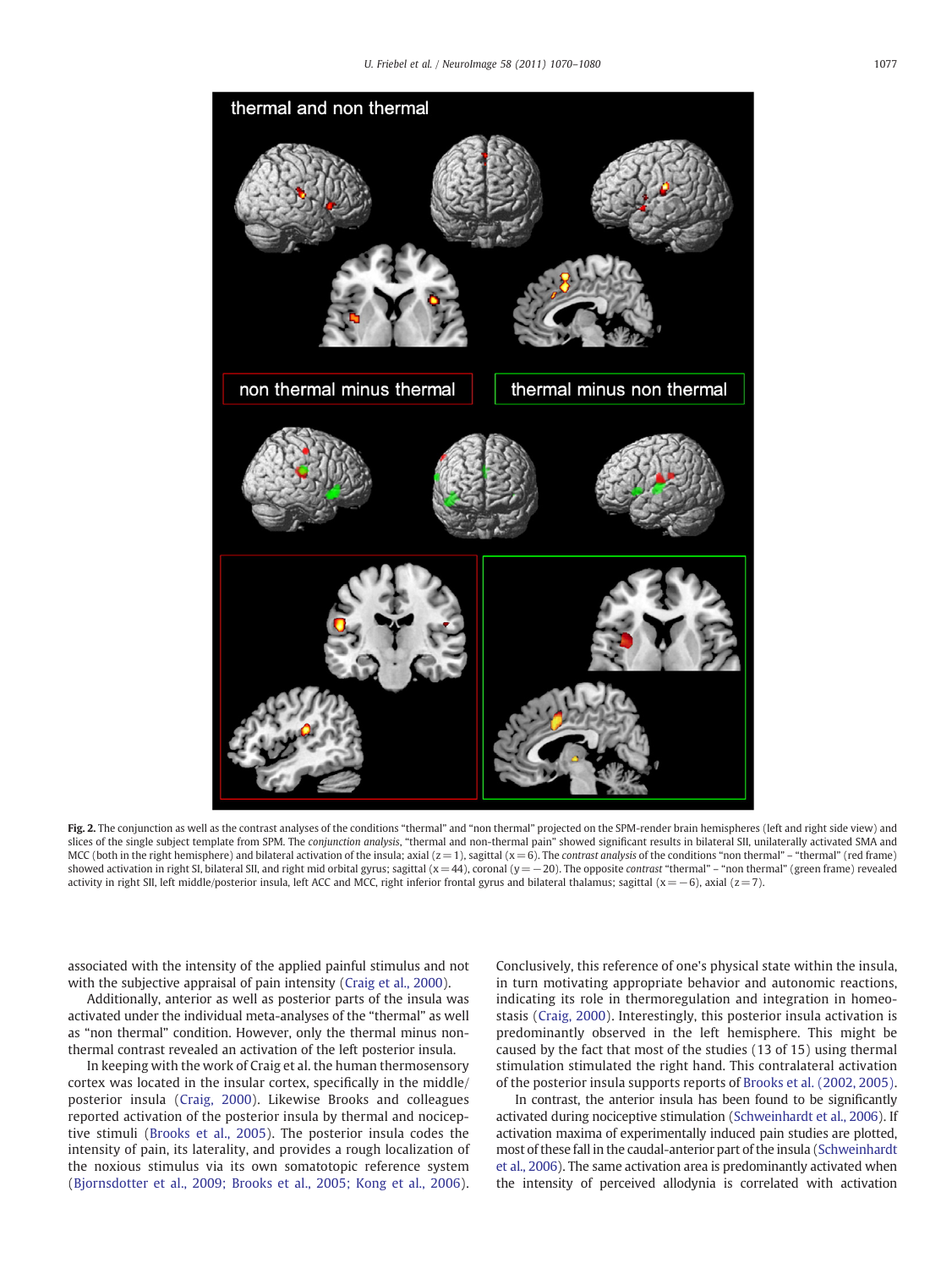<span id="page-7-0"></span>

Fig. 2. The conjunction as well as the contrast analyses of the conditions "thermal" and "non thermal" projected on the SPM-render brain hemispheres (left and right side view) and slices of the single subject template from SPM. The conjunction analysis, "thermal and non-thermal pain" showed significant results in bilateral SII, unilaterally activated SMA and MCC (both in the right hemisphere) and bilateral activation of the insula; axial  $(z=1)$ , sagittal  $(x=6)$ . The contrast analysis of the conditions "non thermal" – "thermal" (red frame) showed activation in right SI, bilateral SII, and right mid orbital gyrus; sagittal (x=44), coronal (y=−20). The opposite *contrast* "thermal" – "non thermal" (green frame) revealed activity in right SII, left middle/posterior insula, left ACC and MCC, right inferior frontal gyrus and bilateral thalamus; sagittal (x=−6), axial (z= 7).

associated with the intensity of the applied painful stimulus and not with the subjective appraisal of pain intensity ([Craig et al., 2000](#page-9-0)).

Additionally, anterior as well as posterior parts of the insula was activated under the individual meta-analyses of the "thermal" as well as "non thermal" condition. However, only the thermal minus nonthermal contrast revealed an activation of the left posterior insula.

In keeping with the work of Craig et al. the human thermosensory cortex was located in the insular cortex, specifically in the middle/ posterior insula ([Craig, 2000](#page-9-0)). Likewise Brooks and colleagues reported activation of the posterior insula by thermal and nociceptive stimuli ([Brooks et al., 2005\)](#page-9-0). The posterior insula codes the intensity of pain, its laterality, and provides a rough localization of the noxious stimulus via its own somatotopic reference system [\(Bjornsdotter et al., 2009; Brooks et al., 2005; Kong et al., 2006](#page-9-0)).

Conclusively, this reference of one's physical state within the insula, in turn motivating appropriate behavior and autonomic reactions, indicating its role in thermoregulation and integration in homeostasis ([Craig, 2000](#page-9-0)). Interestingly, this posterior insula activation is predominantly observed in the left hemisphere. This might be caused by the fact that most of the studies (13 of 15) using thermal stimulation stimulated the right hand. This contralateral activation of the posterior insula supports reports of [Brooks et al. \(2002, 2005\).](#page-9-0)

In contrast, the anterior insula has been found to be significantly activated during nociceptive stimulation [\(Schweinhardt et al., 2006](#page-10-0)). If activation maxima of experimentally induced pain studies are plotted, most of these fall in the caudal-anterior part of the insula [\(Schweinhardt](#page-10-0) [et al., 2006\)](#page-10-0). The same activation area is predominantly activated when the intensity of perceived allodynia is correlated with activation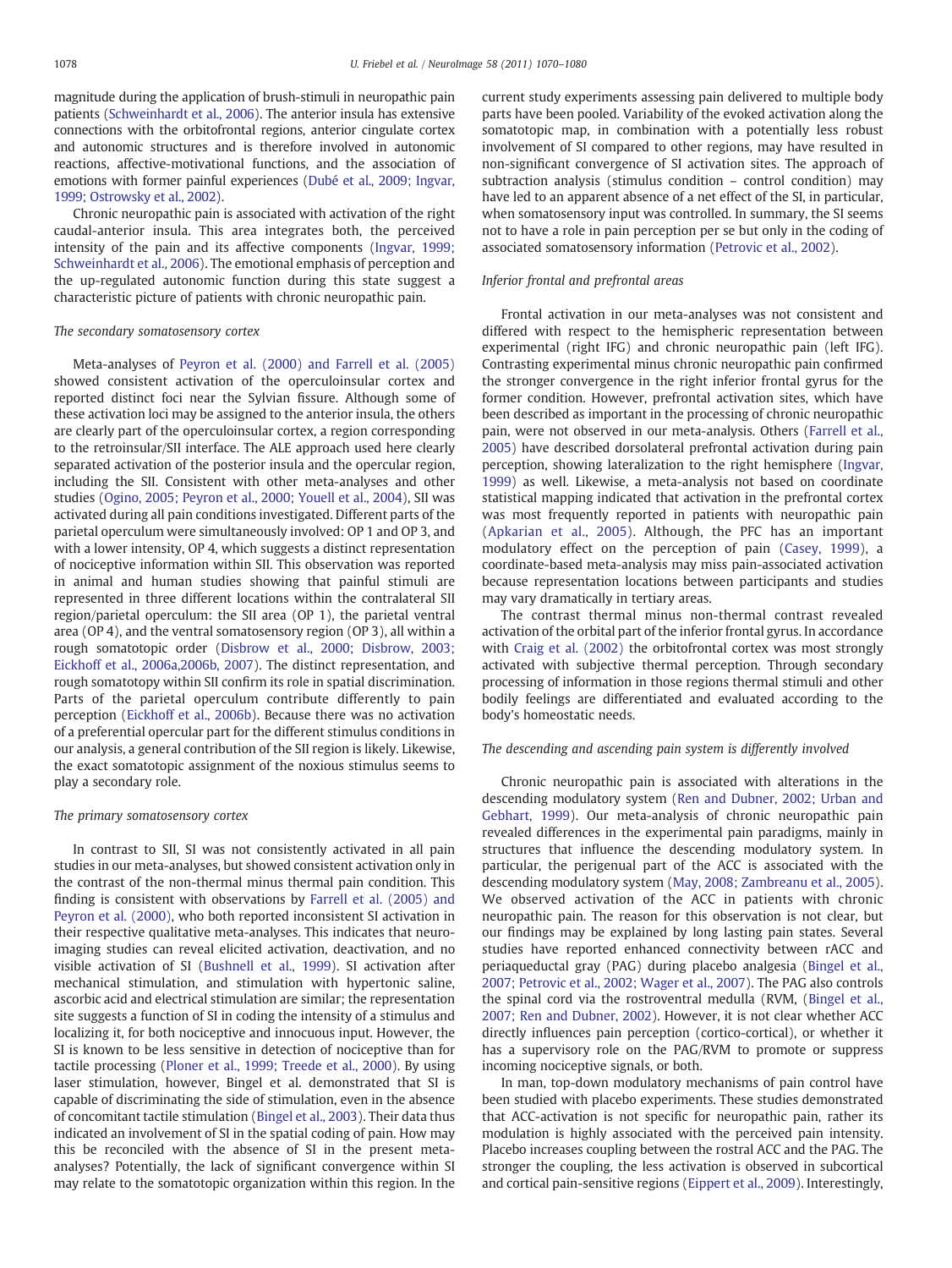magnitude during the application of brush-stimuli in neuropathic pain patients [\(Schweinhardt et al., 2006](#page-10-0)). The anterior insula has extensive connections with the orbitofrontal regions, anterior cingulate cortex and autonomic structures and is therefore involved in autonomic reactions, affective-motivational functions, and the association of emotions with former painful experiences [\(Dubé et al., 2009; Ingvar,](#page-9-0) [1999; Ostrowsky et al., 2002](#page-9-0)).

Chronic neuropathic pain is associated with activation of the right caudal-anterior insula. This area integrates both, the perceived intensity of the pain and its affective components ([Ingvar, 1999;](#page-10-0) [Schweinhardt et al., 2006\)](#page-10-0). The emotional emphasis of perception and the up-regulated autonomic function during this state suggest a characteristic picture of patients with chronic neuropathic pain.

#### The secondary somatosensory cortex

Meta-analyses of [Peyron et al. \(2000\) and Farrell et al. \(2005\)](#page-10-0) showed consistent activation of the operculoinsular cortex and reported distinct foci near the Sylvian fissure. Although some of these activation loci may be assigned to the anterior insula, the others are clearly part of the operculoinsular cortex, a region corresponding to the retroinsular/SII interface. The ALE approach used here clearly separated activation of the posterior insula and the opercular region, including the SII. Consistent with other meta-analyses and other studies [\(Ogino, 2005; Peyron et al., 2000; Youell et al., 2004\)](#page-10-0), SII was activated during all pain conditions investigated. Different parts of the parietal operculum were simultaneously involved: OP 1 and OP 3, and with a lower intensity, OP 4, which suggests a distinct representation of nociceptive information within SII. This observation was reported in animal and human studies showing that painful stimuli are represented in three different locations within the contralateral SII region/parietal operculum: the SII area (OP 1), the parietal ventral area (OP 4), and the ventral somatosensory region (OP 3), all within a rough somatotopic order [\(Disbrow et al., 2000; Disbrow, 2003;](#page-9-0) [Eickhoff et al., 2006a,2006b, 2007\)](#page-9-0). The distinct representation, and rough somatotopy within SII confirm its role in spatial discrimination. Parts of the parietal operculum contribute differently to pain perception [\(Eickhoff et al., 2006b](#page-9-0)). Because there was no activation of a preferential opercular part for the different stimulus conditions in our analysis, a general contribution of the SII region is likely. Likewise, the exact somatotopic assignment of the noxious stimulus seems to play a secondary role.

### The primary somatosensory cortex

In contrast to SII, SI was not consistently activated in all pain studies in our meta-analyses, but showed consistent activation only in the contrast of the non-thermal minus thermal pain condition. This finding is consistent with observations by [Farrell et al. \(2005\) and](#page-9-0) [Peyron et al. \(2000\)](#page-9-0), who both reported inconsistent SI activation in their respective qualitative meta-analyses. This indicates that neuroimaging studies can reveal elicited activation, deactivation, and no visible activation of SI ([Bushnell et al., 1999](#page-9-0)). SI activation after mechanical stimulation, and stimulation with hypertonic saline, ascorbic acid and electrical stimulation are similar; the representation site suggests a function of SI in coding the intensity of a stimulus and localizing it, for both nociceptive and innocuous input. However, the SI is known to be less sensitive in detection of nociceptive than for tactile processing ([Ploner et al., 1999; Treede et al., 2000](#page-10-0)). By using laser stimulation, however, Bingel et al. demonstrated that SI is capable of discriminating the side of stimulation, even in the absence of concomitant tactile stimulation ([Bingel et al., 2003\)](#page-9-0). Their data thus indicated an involvement of SI in the spatial coding of pain. How may this be reconciled with the absence of SI in the present metaanalyses? Potentially, the lack of significant convergence within SI may relate to the somatotopic organization within this region. In the current study experiments assessing pain delivered to multiple body parts have been pooled. Variability of the evoked activation along the somatotopic map, in combination with a potentially less robust involvement of SI compared to other regions, may have resulted in non-significant convergence of SI activation sites. The approach of subtraction analysis (stimulus condition – control condition) may have led to an apparent absence of a net effect of the SI, in particular, when somatosensory input was controlled. In summary, the SI seems not to have a role in pain perception per se but only in the coding of associated somatosensory information ([Petrovic et al., 2002\)](#page-10-0).

#### Inferior frontal and prefrontal areas

Frontal activation in our meta-analyses was not consistent and differed with respect to the hemispheric representation between experimental (right IFG) and chronic neuropathic pain (left IFG). Contrasting experimental minus chronic neuropathic pain confirmed the stronger convergence in the right inferior frontal gyrus for the former condition. However, prefrontal activation sites, which have been described as important in the processing of chronic neuropathic pain, were not observed in our meta-analysis. Others [\(Farrell et al.,](#page-9-0) [2005\)](#page-9-0) have described dorsolateral prefrontal activation during pain perception, showing lateralization to the right hemisphere ([Ingvar,](#page-10-0) [1999\)](#page-10-0) as well. Likewise, a meta-analysis not based on coordinate statistical mapping indicated that activation in the prefrontal cortex was most frequently reported in patients with neuropathic pain [\(Apkarian et al., 2005](#page-9-0)). Although, the PFC has an important modulatory effect on the perception of pain [\(Casey, 1999](#page-9-0)), a coordinate-based meta-analysis may miss pain-associated activation because representation locations between participants and studies may vary dramatically in tertiary areas.

The contrast thermal minus non-thermal contrast revealed activation of the orbital part of the inferior frontal gyrus. In accordance with [Craig et al. \(2002\)](#page-9-0) the orbitofrontal cortex was most strongly activated with subjective thermal perception. Through secondary processing of information in those regions thermal stimuli and other bodily feelings are differentiated and evaluated according to the body's homeostatic needs.

#### The descending and ascending pain system is differently involved

Chronic neuropathic pain is associated with alterations in the descending modulatory system ([Ren and Dubner, 2002; Urban and](#page-10-0) [Gebhart, 1999\)](#page-10-0). Our meta-analysis of chronic neuropathic pain revealed differences in the experimental pain paradigms, mainly in structures that influence the descending modulatory system. In particular, the perigenual part of the ACC is associated with the descending modulatory system [\(May, 2008; Zambreanu et al., 2005](#page-10-0)). We observed activation of the ACC in patients with chronic neuropathic pain. The reason for this observation is not clear, but our findings may be explained by long lasting pain states. Several studies have reported enhanced connectivity between rACC and periaqueductal gray (PAG) during placebo analgesia ([Bingel et al.,](#page-9-0) [2007; Petrovic et al., 2002; Wager et al., 2007\)](#page-9-0). The PAG also controls the spinal cord via the rostroventral medulla (RVM, ([Bingel et al.,](#page-9-0) [2007; Ren and Dubner, 2002\)](#page-9-0). However, it is not clear whether ACC directly influences pain perception (cortico-cortical), or whether it has a supervisory role on the PAG/RVM to promote or suppress incoming nociceptive signals, or both.

In man, top-down modulatory mechanisms of pain control have been studied with placebo experiments. These studies demonstrated that ACC-activation is not specific for neuropathic pain, rather its modulation is highly associated with the perceived pain intensity. Placebo increases coupling between the rostral ACC and the PAG. The stronger the coupling, the less activation is observed in subcortical and cortical pain-sensitive regions ([Eippert et al., 2009\)](#page-9-0). Interestingly,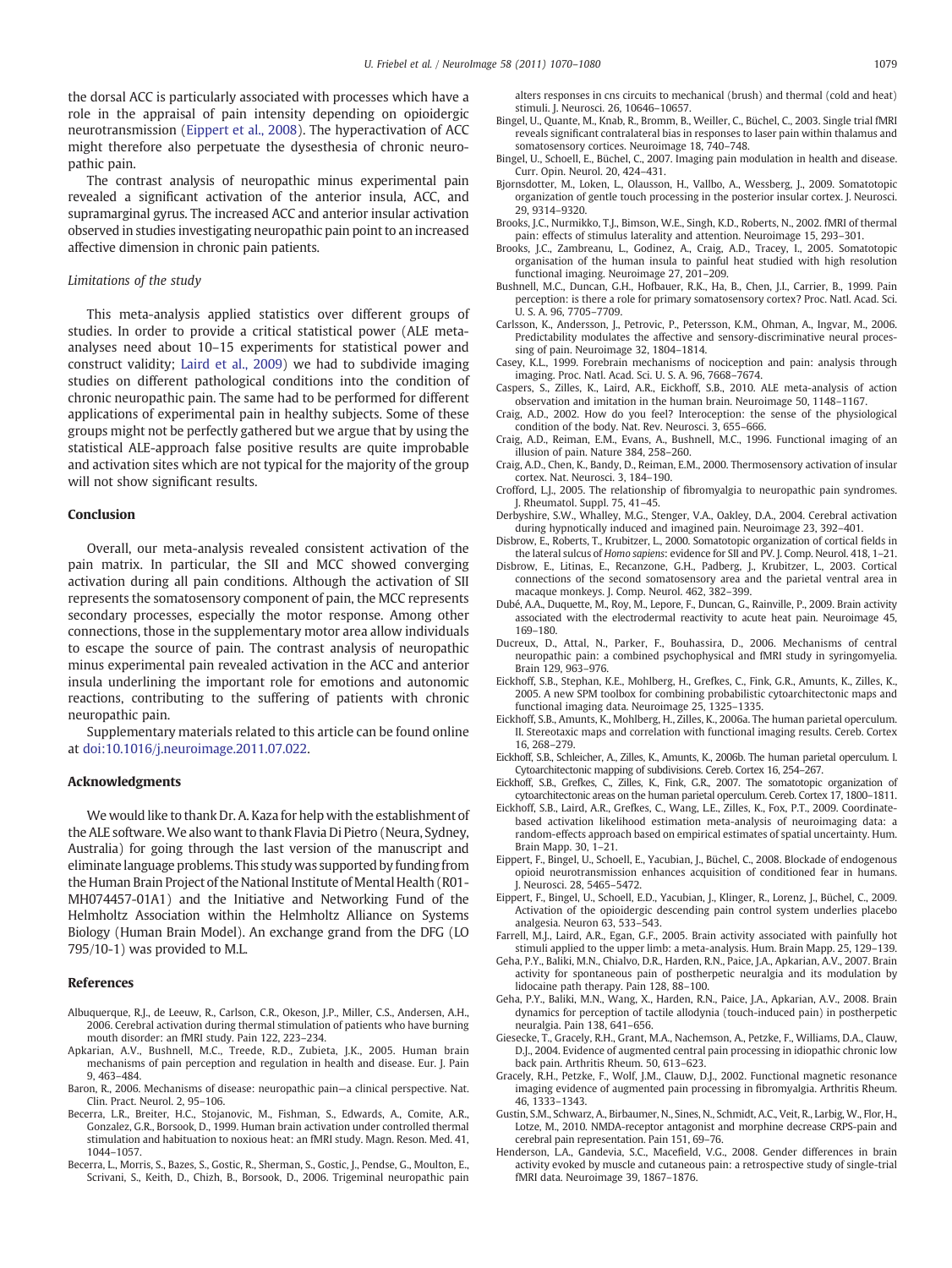<span id="page-9-0"></span>the dorsal ACC is particularly associated with processes which have a role in the appraisal of pain intensity depending on opioidergic neurotransmission (Eippert et al., 2008). The hyperactivation of ACC might therefore also perpetuate the dysesthesia of chronic neuropathic pain.

The contrast analysis of neuropathic minus experimental pain revealed a significant activation of the anterior insula, ACC, and supramarginal gyrus. The increased ACC and anterior insular activation observed in studies investigating neuropathic pain point to an increased affective dimension in chronic pain patients.

#### Limitations of the study

This meta-analysis applied statistics over different groups of studies. In order to provide a critical statistical power (ALE metaanalyses need about 10–15 experiments for statistical power and construct validity; [Laird et al., 2009\)](#page-10-0) we had to subdivide imaging studies on different pathological conditions into the condition of chronic neuropathic pain. The same had to be performed for different applications of experimental pain in healthy subjects. Some of these groups might not be perfectly gathered but we argue that by using the statistical ALE-approach false positive results are quite improbable and activation sites which are not typical for the majority of the group will not show significant results.

### Conclusion

Overall, our meta-analysis revealed consistent activation of the pain matrix. In particular, the SII and MCC showed converging activation during all pain conditions. Although the activation of SII represents the somatosensory component of pain, the MCC represents secondary processes, especially the motor response. Among other connections, those in the supplementary motor area allow individuals to escape the source of pain. The contrast analysis of neuropathic minus experimental pain revealed activation in the ACC and anterior insula underlining the important role for emotions and autonomic reactions, contributing to the suffering of patients with chronic neuropathic pain.

Supplementary materials related to this article can be found online at doi:10.1016/j.neuroimage.2011.07.022.

#### Acknowledgments

We would like to thank Dr. A. Kaza for help with the establishment of the ALE software. We also want to thank Flavia Di Pietro (Neura, Sydney, Australia) for going through the last version of the manuscript and eliminate language problems. This study was supported by funding from the Human Brain Project of the National Institute of Mental Health (R01- MH074457-01A1) and the Initiative and Networking Fund of the Helmholtz Association within the Helmholtz Alliance on Systems Biology (Human Brain Model). An exchange grand from the DFG (LO 795/10-1) was provided to M.L.

#### References

- Albuquerque, R.J., de Leeuw, R., Carlson, C.R., Okeson, J.P., Miller, C.S., Andersen, A.H., 2006. Cerebral activation during thermal stimulation of patients who have burning mouth disorder: an fMRI study. Pain 122, 223–234.
- Apkarian, A.V., Bushnell, M.C., Treede, R.D., Zubieta, J.K., 2005. Human brain mechanisms of pain perception and regulation in health and disease. Eur. J. Pain 9, 463–484.
- Baron, R., 2006. Mechanisms of disease: neuropathic pain—a clinical perspective. Nat. Clin. Pract. Neurol. 2, 95–106.
- Becerra, L.R., Breiter, H.C., Stojanovic, M., Fishman, S., Edwards, A., Comite, A.R., Gonzalez, G.R., Borsook, D., 1999. Human brain activation under controlled thermal stimulation and habituation to noxious heat: an fMRI study. Magn. Reson. Med. 41, 1044–1057.
- Becerra, L., Morris, S., Bazes, S., Gostic, R., Sherman, S., Gostic, J., Pendse, G., Moulton, E., Scrivani, S., Keith, D., Chizh, B., Borsook, D., 2006. Trigeminal neuropathic pain

alters responses in cns circuits to mechanical (brush) and thermal (cold and heat) stimuli. J. Neurosci. 26, 10646–10657.

- Bingel, U., Quante, M., Knab, R., Bromm, B., Weiller, C., Büchel, C., 2003. Single trial fMRI reveals significant contralateral bias in responses to laser pain within thalamus and somatosensory cortices. Neuroimage 18, 740–748.
- Bingel, U., Schoell, E., Büchel, C., 2007. Imaging pain modulation in health and disease. Curr. Opin. Neurol. 20, 424–431.
- Bjornsdotter, M., Loken, L., Olausson, H., Vallbo, A., Wessberg, J., 2009. Somatotopic organization of gentle touch processing in the posterior insular cortex. J. Neurosci. 29, 9314–9320.
- Brooks, J.C., Nurmikko, T.J., Bimson, W.E., Singh, K.D., Roberts, N., 2002. fMRI of thermal pain: effects of stimulus laterality and attention. Neuroimage 15, 293–301.
- Brooks, J.C., Zambreanu, L., Godinez, A., Craig, A.D., Tracey, I., 2005. Somatotopic organisation of the human insula to painful heat studied with high resolution functional imaging. Neuroimage 27, 201–209.
- Bushnell, M.C., Duncan, G.H., Hofbauer, R.K., Ha, B., Chen, J.I., Carrier, B., 1999. Pain perception: is there a role for primary somatosensory cortex? Proc. Natl. Acad. Sci. U. S. A. 96, 7705–7709.
- Carlsson, K., Andersson, J., Petrovic, P., Petersson, K.M., Ohman, A., Ingvar, M., 2006. Predictability modulates the affective and sensory-discriminative neural processing of pain. Neuroimage 32, 1804–1814.
- Casey, K.L., 1999. Forebrain mechanisms of nociception and pain: analysis through imaging. Proc. Natl. Acad. Sci. U. S. A. 96, 7668–7674.
- Caspers, S., Zilles, K., Laird, A.R., Eickhoff, S.B., 2010. ALE meta-analysis of action observation and imitation in the human brain. Neuroimage 50, 1148–1167.
- Craig, A.D., 2002. How do you feel? Interoception: the sense of the physiological condition of the body. Nat. Rev. Neurosci. 3, 655–666.
- Craig, A.D., Reiman, E.M., Evans, A., Bushnell, M.C., 1996. Functional imaging of an illusion of pain. Nature 384, 258–260.
- Craig, A.D., Chen, K., Bandy, D., Reiman, E.M., 2000. Thermosensory activation of insular cortex. Nat. Neurosci. 3, 184–190.
- Crofford, L.J., 2005. The relationship of fibromyalgia to neuropathic pain syndromes. J. Rheumatol. Suppl. 75, 41–45.
- Derbyshire, S.W., Whalley, M.G., Stenger, V.A., Oakley, D.A., 2004. Cerebral activation during hypnotically induced and imagined pain. Neuroimage 23, 392–401.
- Disbrow, E., Roberts, T., Krubitzer, L., 2000. Somatotopic organization of cortical fields in the lateral sulcus of Homo sapiens: evidence for SII and PV. J. Comp. Neurol. 418, 1–21.
- Disbrow, E., Litinas, E., Recanzone, G.H., Padberg, J., Krubitzer, L., 2003. Cortical connections of the second somatosensory area and the parietal ventral area in macaque monkeys. J. Comp. Neurol. 462, 382–399.
- Dubé, A.A., Duquette, M., Roy, M., Lepore, F., Duncan, G., Rainville, P., 2009. Brain activity associated with the electrodermal reactivity to acute heat pain. Neuroimage 45, 169–180.
- Ducreux, D., Attal, N., Parker, F., Bouhassira, D., 2006. Mechanisms of central neuropathic pain: a combined psychophysical and fMRI study in syringomyelia. Brain 129, 963–976.
- Eickhoff, S.B., Stephan, K.E., Mohlberg, H., Grefkes, C., Fink, G.R., Amunts, K., Zilles, K., 2005. A new SPM toolbox for combining probabilistic cytoarchitectonic maps and functional imaging data. Neuroimage 25, 1325–1335.
- Eickhoff, S.B., Amunts, K., Mohlberg, H., Zilles, K., 2006a. The human parietal operculum. II. Stereotaxic maps and correlation with functional imaging results. Cereb. Cortex 16, 268–279.
- Eickhoff, S.B., Schleicher, A., Zilles, K., Amunts, K., 2006b. The human parietal operculum. I. Cytoarchitectonic mapping of subdivisions. Cereb. Cortex 16, 254–267.
- Eickhoff, S.B., Grefkes, C., Zilles, K., Fink, G.R., 2007. The somatotopic organization of cytoarchitectonic areas on the human parietal operculum. Cereb. Cortex 17, 1800–1811.
- Eickhoff, S.B., Laird, A.R., Grefkes, C., Wang, L.E., Zilles, K., Fox, P.T., 2009. Coordinatebased activation likelihood estimation meta-analysis of neuroimaging data: a random-effects approach based on empirical estimates of spatial uncertainty. Hum. Brain Mapp. 30, 1–21.
- Eippert, F., Bingel, U., Schoell, E., Yacubian, J., Büchel, C., 2008. Blockade of endogenous opioid neurotransmission enhances acquisition of conditioned fear in humans. J. Neurosci. 28, 5465–5472.
- Eippert, F., Bingel, U., Schoell, E.D., Yacubian, J., Klinger, R., Lorenz, J., Büchel, C., 2009. Activation of the opioidergic descending pain control system underlies placebo analgesia. Neuron 63, 533–543.
- Farrell, M.J., Laird, A.R., Egan, G.F., 2005. Brain activity associated with painfully hot stimuli applied to the upper limb: a meta-analysis. Hum. Brain Mapp. 25, 129–139.
- Geha, P.Y., Baliki, M.N., Chialvo, D.R., Harden, R.N., Paice, J.A., Apkarian, A.V., 2007. Brain activity for spontaneous pain of postherpetic neuralgia and its modulation by lidocaine path therapy. Pain 128, 88–100.
- Geha, P.Y., Baliki, M.N., Wang, X., Harden, R.N., Paice, J.A., Apkarian, A.V., 2008. Brain dynamics for perception of tactile allodynia (touch-induced pain) in postherpetic neuralgia. Pain 138, 641–656.
- Giesecke, T., Gracely, R.H., Grant, M.A., Nachemson, A., Petzke, F., Williams, D.A., Clauw, D.J., 2004. Evidence of augmented central pain processing in idiopathic chronic low back pain. Arthritis Rheum. 50, 613–623.
- Gracely, R.H., Petzke, F., Wolf, J.M., Clauw, D.J., 2002. Functional magnetic resonance imaging evidence of augmented pain processing in fibromyalgia. Arthritis Rheum. 46, 1333–1343.
- Gustin, S.M., Schwarz, A., Birbaumer, N., Sines, N., Schmidt, A.C., Veit, R., Larbig, W., Flor, H., Lotze, M., 2010. NMDA-receptor antagonist and morphine decrease CRPS-pain and cerebral pain representation. Pain 151, 69–76.
- Henderson, L.A., Gandevia, S.C., Macefield, V.G., 2008. Gender differences in brain activity evoked by muscle and cutaneous pain: a retrospective study of single-trial fMRI data. Neuroimage 39, 1867–1876.